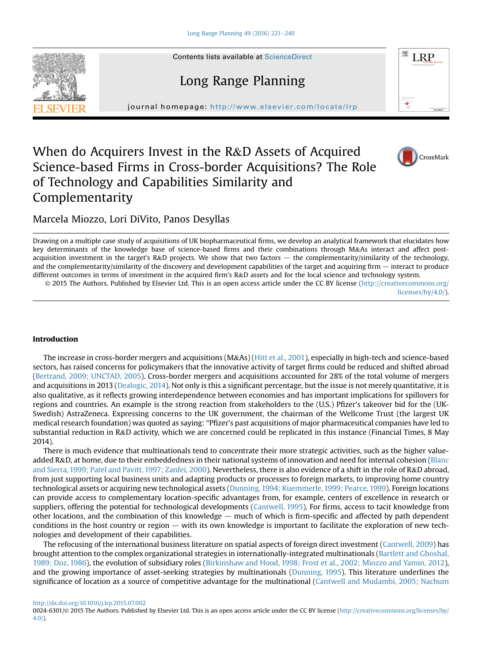# Long Range Planning

journal homepage: [http://www.elsevier.com/locate/lrp](http://http://www.elsevier.com/locate/lrp)p/ $\mathcal{N}$ 

# When do Acquirers Invest in the R&D Assets of Acquired Science-based Firms in Cross-border Acquisitions? The Role of Technology and Capabilities Similarity and Complementarity



 $\bullet$ 

**LRP** 

# Marcela Miozzo, Lori DiVito, Panos Desyllas

Drawing on a multiple case study of acquisitions of UK biopharmaceutical firms, we develop an analytical framework that elucidates how key determinants of the knowledge base of science-based firms and their combinations through M&As interact and affect postacquisition investment in the target's R&D projects. We show that two factors — the complementarity/similarity of the technology, and the complementarity/similarity of the discovery and development capabilities of the target and acquiring firm  $-$  interact to produce different outcomes in terms of investment in the acquired firm's R&D assets and for the local science and technology system.

© 2015 The Authors. Published by Elsevier Ltd. This is an open access article under the CC BY license [\(http://creativecommons.org/](http://creativecommons.org/licenses/by/4.0/) [licenses/by/4.0/\)](http://creativecommons.org/licenses/by/4.0/).

# Introduction

The increase in cross-border mergers and acquisitions (M&As) [\(Hitt et al., 2001\)](#page-17-0), especially in high-tech and science-based sectors, has raised concerns for policymakers that the innovative activity of target firms could be reduced and shifted abroad ([Bertrand, 2009; UNCTAD, 2005](#page-16-0)). Cross-border mergers and acquisitions accounted for 28% of the total volume of mergers and acquisitions in 2013 [\(Dealogic, 2014\)](#page-17-0). Not only is this a significant percentage, but the issue is not merely quantitative, it is also qualitative, as it reflects growing interdependence between economies and has important implications for spillovers for regions and countries. An example is the strong reaction from stakeholders to the (U.S.) Pfizer's takeover bid for the (UK-Swedish) AstraZeneca. Expressing concerns to the UK government, the chairman of the Wellcome Trust (the largest UK medical research foundation) was quoted as saying: "Pfizer's past acquisitions of major pharmaceutical companies have led to substantial reduction in R&D activity, which we are concerned could be replicated in this instance (Financial Times, 8 May 2014).

There is much evidence that multinationals tend to concentrate their more strategic activities, such as the higher valueadded R&D, at home, due to their embeddedness in their national systems of innovation and need for internal cohesion ([Blanc](#page-16-0) [and Sierra, 1999; Patel and Pavitt, 1997; Zanfei, 2000\)](#page-16-0). Nevertheless, there is also evidence of a shift in the role of R&D abroad, from just supporting local business units and adapting products or processes to foreign markets, to improving home country technological assets or acquiring new technological assets [\(Dunning, 1994; Kuemmerle, 1999; Pearce, 1999\)](#page-17-0). Foreign locations can provide access to complementary location-specific advantages from, for example, centers of excellence in research or suppliers, offering the potential for technological developments [\(Cantwell, 1995\)](#page-16-0). For firms, access to tacit knowledge from other locations, and the combination of this knowledge  $-$  much of which is firm-specific and affected by path dependent conditions in the host country or region  $-$  with its own knowledge is important to facilitate the exploration of new technologies and development of their capabilities.

The refocusing of the international business literature on spatial aspects of foreign direct investment ([Cantwell, 2009](#page-16-0)) has brought attention to the complex organizational strategies in internationally-integrated multinationals ([Bartlett and Ghoshal,](#page-16-0) [1989; Doz, 1986\)](#page-16-0), the evolution of subsidiary roles ([Birkinshaw and Hood, 1998; Frost et al., 2002; Miozzo and Yamin, 2012](#page-16-0)), and the growing importance of asset-seeking strategies by multinationals [\(Dunning, 1995\)](#page-17-0). This literature underlines the significance of location as a source of competitive advantage for the multinational ([Cantwell and Mudambi, 2005; Nachum](#page-16-0)

<http://dx.doi.org/10.1016/j.lrp.2015.07.002>

0024-6301/© 2015 The Authors. Published by Elsevier Ltd. This is an open access article under the CC BY license ([http://creativecommons.org/licenses/by/](http://creativecommons.org/licenses/by/4.0/) [4.0/](http://creativecommons.org/licenses/by/4.0/)).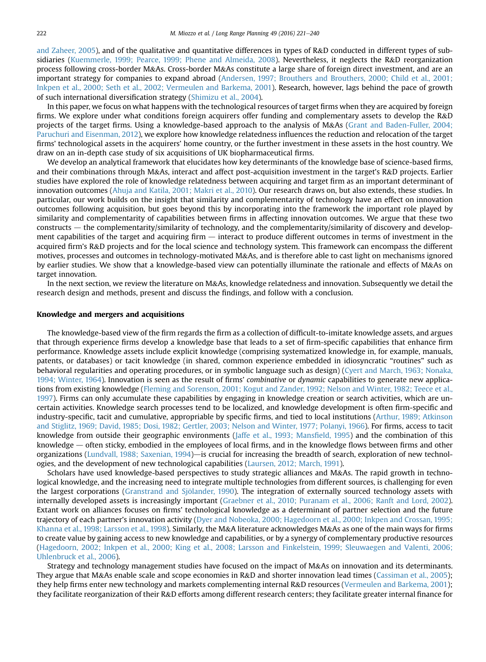[and Zaheer, 2005](#page-16-0)), and of the qualitative and quantitative differences in types of R&D conducted in different types of subsidiaries [\(Kuemmerle, 1999; Pearce, 1999; Phene and Almeida, 2008\)](#page-17-0). Nevertheless, it neglects the R&D reorganization process following cross-border M&As. Cross-border M&As constitute a large share of foreign direct investment, and are an important strategy for companies to expand abroad [\(Andersen, 1997; Brouthers and Brouthers, 2000; Child et al., 2001;](#page-16-0) [Inkpen et al., 2000; Seth et al., 2002; Vermeulen and Barkema, 2001\)](#page-16-0). Research, however, lags behind the pace of growth of such international diversification strategy [\(Shimizu et al., 2004\)](#page-18-0).

In this paper, we focus on what happens with the technological resources of target firms when they are acquired by foreign firms. We explore under what conditions foreign acquirers offer funding and complementary assets to develop the R&D projects of the target firms. Using a knowledge-based approach to the analysis of M&As [\(Grant and Baden-Fuller, 2004;](#page-17-0) [Paruchuri and Eisenman, 2012\)](#page-17-0), we explore how knowledge relatedness influences the reduction and relocation of the target firms' technological assets in the acquirers' home country, or the further investment in these assets in the host country. We draw on an in-depth case study of six acquisitions of UK biopharmaceutical firms.

We develop an analytical framework that elucidates how key determinants of the knowledge base of science-based firms, and their combinations through M&As, interact and affect post-acquisition investment in the target's R&D projects. Earlier studies have explored the role of knowledge relatedness between acquiring and target firm as an important determinant of innovation outcomes [\(Ahuja and Katila, 2001; Makri et al., 2010\)](#page-16-0). Our research draws on, but also extends, these studies. In particular, our work builds on the insight that similarity and complementarity of technology have an effect on innovation outcomes following acquisition, but goes beyond this by incorporating into the framework the important role played by similarity and complementarity of capabilities between firms in affecting innovation outcomes. We argue that these two  $constructs$  – the complementarity/similarity of technology, and the complementarity/similarity of discovery and development capabilities of the target and acquiring firm  $-$  interact to produce different outcomes in terms of investment in the acquired firm's R&D projects and for the local science and technology system. This framework can encompass the different motives, processes and outcomes in technology-motivated M&As, and is therefore able to cast light on mechanisms ignored by earlier studies. We show that a knowledge-based view can potentially illuminate the rationale and effects of M&As on target innovation.

In the next section, we review the literature on M&As, knowledge relatedness and innovation. Subsequently we detail the research design and methods, present and discuss the findings, and follow with a conclusion.

#### Knowledge and mergers and acquisitions

The knowledge-based view of the firm regards the firm as a collection of difficult-to-imitate knowledge assets, and argues that through experience firms develop a knowledge base that leads to a set of firm-specific capabilities that enhance firm performance. Knowledge assets include explicit knowledge (comprising systematized knowledge in, for example, manuals, patents, or databases) or tacit knowledge (in shared, common experience embedded in idiosyncratic "routines" such as behavioral regularities and operating procedures, or in symbolic language such as design) [\(Cyert and March, 1963; Nonaka,](#page-16-0) [1994; Winter, 1964\)](#page-16-0). Innovation is seen as the result of firms' combinative or dynamic capabilities to generate new applications from existing knowledge ([Fleming and Sorenson, 2001; Kogut and Zander, 1992; Nelson and Winter, 1982; Teece et al.,](#page-17-0) [1997](#page-17-0)). Firms can only accumulate these capabilities by engaging in knowledge creation or search activities, which are uncertain activities. Knowledge search processes tend to be localized, and knowledge development is often firm-specific and industry-specific, tacit and cumulative, appropriable by specific firms, and tied to local institutions [\(Arthur, 1989; Atkinson](#page-16-0) [and Stiglitz, 1969; David, 1985; Dosi, 1982; Gertler, 2003; Nelson and Winter, 1977; Polanyi, 1966\)](#page-16-0). For firms, access to tacit knowledge from outside their geographic environments ([Jaffe et al., 1993; Mans](#page-17-0)field, 1995) and the combination of this knowledge  $-$  often sticky, embodied in the employees of local firms, and in the knowledge flows between firms and other organizations ([Lundvall, 1988; Saxenian, 1994\)](#page-17-0)—is crucial for increasing the breadth of search, exploration of new technologies, and the development of new technological capabilities [\(Laursen, 2012; March, 1991\)](#page-17-0).

Scholars have used knowledge-based perspectives to study strategic alliances and M&As. The rapid growth in technological knowledge, and the increasing need to integrate multiple technologies from different sources, is challenging for even the largest corporations (Granstrand and Sjölander, 1990). The integration of externally sourced technology assets with internally developed assets is increasingly important ([Graebner et al., 2010; Puranam et al., 2006; Ranft and Lord, 2002](#page-17-0)). Extant work on alliances focuses on firms' technological knowledge as a determinant of partner selection and the future trajectory of each partner's innovation activity [\(Dyer and Nobeoka, 2000; Hagedoorn et al., 2000; Inkpen and Crossan, 1995;](#page-17-0) [Khanna et al., 1998; Larsson et al., 1998](#page-17-0)). Similarly, the M&A literature acknowledges M&As as one of the main ways for firms to create value by gaining access to new knowledge and capabilities, or by a synergy of complementary productive resources [\(Hagedoorn, 2002; Inkpen et al., 2000; King et al., 2008; Larsson and Finkelstein, 1999; Sleuwaegen and Valenti, 2006;](#page-17-0) [Uhlenbruck et al., 2006\)](#page-17-0).

Strategy and technology management studies have focused on the impact of M&As on innovation and its determinants. They argue that M&As enable scale and scope economies in R&D and shorter innovation lead times ([Cassiman et al., 2005\)](#page-16-0); they help firms enter new technology and markets complementing internal R&D resources ([Vermeulen and Barkema, 2001\)](#page-18-0); they facilitate reorganization of their R&D efforts among different research centers; they facilitate greater internal finance for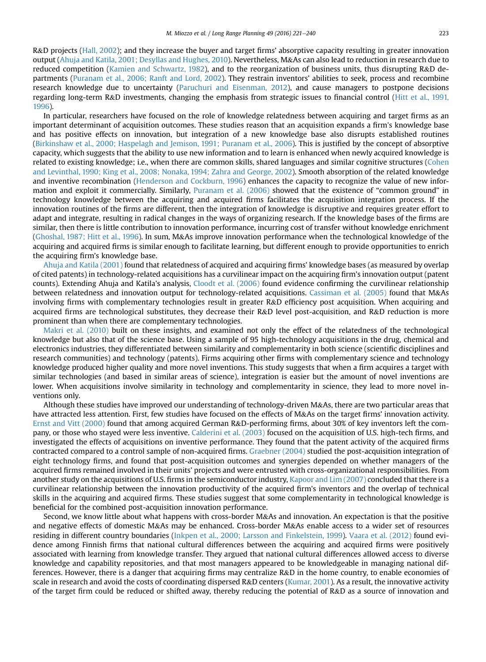R&D projects [\(Hall, 2002\)](#page-17-0); and they increase the buyer and target firms' absorptive capacity resulting in greater innovation output [\(Ahuja and Katila, 2001; Desyllas and Hughes, 2010](#page-16-0)). Nevertheless, M&As can also lead to reduction in research due to reduced competition [\(Kamien and Schwartz, 1982](#page-17-0)), and to the reorganization of business units, thus disrupting R&D departments ([Puranam et al., 2006; Ranft and Lord, 2002](#page-18-0)). They restrain inventors' abilities to seek, process and recombine research knowledge due to uncertainty ([Paruchuri and Eisenman, 2012](#page-18-0)), and cause managers to postpone decisions regarding long-term R&D investments, changing the emphasis from strategic issues to financial control ([Hitt et al., 1991,](#page-17-0) [1996](#page-17-0)).

In particular, researchers have focused on the role of knowledge relatedness between acquiring and target firms as an important determinant of acquisition outcomes. These studies reason that an acquisition expands a firm's knowledge base and has positive effects on innovation, but integration of a new knowledge base also disrupts established routines ([Birkinshaw et al., 2000; Haspelagh and Jemison, 1991; Puranam et al., 2006](#page-16-0)). This is justified by the concept of absorptive capacity, which suggests that the ability to use new information and to learn is enhanced when newly acquired knowledge is related to existing knowledge; i.e., when there are common skills, shared languages and similar cognitive structures [\(Cohen](#page-16-0) [and Levinthal, 1990; King et al., 2008; Nonaka, 1994; Zahra and George, 2002](#page-16-0)). Smooth absorption of the related knowledge and inventive recombination ([Henderson and Cockburn, 1996](#page-17-0)) enhances the capacity to recognize the value of new information and exploit it commercially. Similarly, [Puranam et al. \(2006\)](#page-18-0) showed that the existence of "common ground" in technology knowledge between the acquiring and acquired firms facilitates the acquisition integration process. If the innovation routines of the firms are different, then the integration of knowledge is disruptive and requires greater effort to adapt and integrate, resulting in radical changes in the ways of organizing research. If the knowledge bases of the firms are similar, then there is little contribution to innovation performance, incurring cost of transfer without knowledge enrichment ([Ghoshal, 1987; Hitt et al., 1996](#page-17-0)). In sum, M&As improve innovation performance when the technological knowledge of the acquiring and acquired firms is similar enough to facilitate learning, but different enough to provide opportunities to enrich the acquiring firm's knowledge base.

[Ahuja and Katila \(2001\)](#page-16-0) found that relatedness of acquired and acquiring firms' knowledge bases (as measured by overlap of cited patents) in technology-related acquisitions has a curvilinear impact on the acquiring firm's innovation output (patent counts). Extending Ahuja and Katila's analysis, [Cloodt et al. \(2006\)](#page-16-0) found evidence confirming the curvilinear relationship between relatedness and innovation output for technology-related acquisitions. [Cassiman et al. \(2005\)](#page-16-0) found that M&As involving firms with complementary technologies result in greater R&D efficiency post acquisition. When acquiring and acquired firms are technological substitutes, they decrease their R&D level post-acquisition, and R&D reduction is more prominent than when there are complementary technologies.

[Makri et al. \(2010\)](#page-17-0) built on these insights, and examined not only the effect of the relatedness of the technological knowledge but also that of the science base. Using a sample of 95 high-technology acquisitions in the drug, chemical and electronics industries, they differentiated between similarity and complementarity in both science (scientific disciplines and research communities) and technology (patents). Firms acquiring other firms with complementary science and technology knowledge produced higher quality and more novel inventions. This study suggests that when a firm acquires a target with similar technologies (and based in similar areas of science), integration is easier but the amount of novel inventions are lower. When acquisitions involve similarity in technology and complementarity in science, they lead to more novel inventions only.

Although these studies have improved our understanding of technology-driven M&As, there are two particular areas that have attracted less attention. First, few studies have focused on the effects of M&As on the target firms' innovation activity. [Ernst and Vitt \(2000\)](#page-17-0) found that among acquired German R&D-performing firms, about 30% of key inventors left the company, or those who stayed were less inventive. [Calderini et al. \(2003\)](#page-16-0) focused on the acquisition of U.S. high-tech firms, and investigated the effects of acquisitions on inventive performance. They found that the patent activity of the acquired firms contracted compared to a control sample of non-acquired firms. [Graebner \(2004\)](#page-17-0) studied the post-acquisition integration of eight technology firms, and found that post-acquisition outcomes and synergies depended on whether managers of the acquired firms remained involved in their units' projects and were entrusted with cross-organizational responsibilities. From another study on the acquisitions of U.S. firms in the semiconductor industry, [Kapoor and Lim \(2007\)](#page-17-0) concluded that there is a curvilinear relationship between the innovation productivity of the acquired firm's inventors and the overlap of technical skills in the acquiring and acquired firms. These studies suggest that some complementarity in technological knowledge is beneficial for the combined post-acquisition innovation performance.

Second, we know little about what happens with cross-border M&As and innovation. An expectation is that the positive and negative effects of domestic M&As may be enhanced. Cross-border M&As enable access to a wider set of resources residing in different country boundaries [\(Inkpen et al., 2000; Larsson and Finkelstein, 1999\)](#page-17-0). [Vaara et al. \(2012\)](#page-18-0) found evidence among Finnish firms that national cultural differences between the acquiring and acquired firms were positively associated with learning from knowledge transfer. They argued that national cultural differences allowed access to diverse knowledge and capability repositories, and that most managers appeared to be knowledgeable in managing national differences. However, there is a danger that acquiring firms may centralize R&D in the home country, to enable economies of scale in research and avoid the costs of coordinating dispersed R&D centers ([Kumar, 2001](#page-17-0)). As a result, the innovative activity of the target firm could be reduced or shifted away, thereby reducing the potential of R&D as a source of innovation and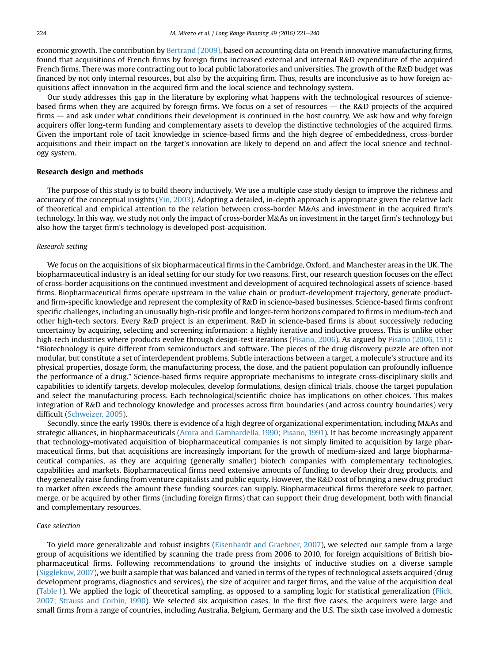economic growth. The contribution by [Bertrand \(2009\),](#page-16-0) based on accounting data on French innovative manufacturing firms, found that acquisitions of French firms by foreign firms increased external and internal R&D expenditure of the acquired French firms. There was more contracting out to local public laboratories and universities. The growth of the R&D budget was financed by not only internal resources, but also by the acquiring firm. Thus, results are inconclusive as to how foreign acquisitions affect innovation in the acquired firm and the local science and technology system.

Our study addresses this gap in the literature by exploring what happens with the technological resources of sciencebased firms when they are acquired by foreign firms. We focus on a set of resources  $-$  the R&D projects of the acquired  $firms -$  and ask under what conditions their development is continued in the host country. We ask how and why foreign acquirers offer long-term funding and complementary assets to develop the distinctive technologies of the acquired firms. Given the important role of tacit knowledge in science-based firms and the high degree of embeddedness, cross-border acquisitions and their impact on the target's innovation are likely to depend on and affect the local science and technology system.

#### Research design and methods

The purpose of this study is to build theory inductively. We use a multiple case study design to improve the richness and accuracy of the conceptual insights ([Yin, 2003\)](#page-18-0). Adopting a detailed, in-depth approach is appropriate given the relative lack of theoretical and empirical attention to the relation between cross-border M&As and investment in the acquired firm's technology. In this way, we study not only the impact of cross-border M&As on investment in the target firm's technology but also how the target firm's technology is developed post-acquisition.

#### Research setting

We focus on the acquisitions of six biopharmaceutical firms in the Cambridge, Oxford, and Manchester areas in the UK. The biopharmaceutical industry is an ideal setting for our study for two reasons. First, our research question focuses on the effect of cross-border acquisitions on the continued investment and development of acquired technological assets of science-based firms. Biopharmaceutical firms operate upstream in the value chain or product-development trajectory, generate productand firm-specific knowledge and represent the complexity of R&D in science-based businesses. Science-based firms confront specific challenges, including an unusually high-risk profile and longer-term horizons compared to firms in medium-tech and other high-tech sectors. Every R&D project is an experiment. R&D in science-based firms is about successively reducing uncertainty by acquiring, selecting and screening information: a highly iterative and inductive process. This is unlike other high-tech industries where products evolve through design-test iterations ([Pisano, 2006\)](#page-18-0). As argued by [Pisano \(2006, 151\):](#page-18-0) "Biotechnology is quite different from semiconductors and software. The pieces of the drug discovery puzzle are often not modular, but constitute a set of interdependent problems. Subtle interactions between a target, a molecule's structure and its physical properties, dosage form, the manufacturing process, the dose, and the patient population can profoundly influence the performance of a drug." Science-based firms require appropriate mechanisms to integrate cross-disciplinary skills and capabilities to identify targets, develop molecules, develop formulations, design clinical trials, choose the target population and select the manufacturing process. Each technological/scientific choice has implications on other choices. This makes integration of R&D and technology knowledge and processes across firm boundaries (and across country boundaries) very difficult ([Schweizer, 2005\)](#page-18-0).

Secondly, since the early 1990s, there is evidence of a high degree of organizational experimentation, including M&As and strategic alliances, in biopharmaceuticals ([Arora and Gambardella, 1990; Pisano, 1991](#page-16-0)). It has become increasingly apparent that technology-motivated acquisition of biopharmaceutical companies is not simply limited to acquisition by large pharmaceutical firms, but that acquisitions are increasingly important for the growth of medium-sized and large biopharmaceutical companies, as they are acquiring (generally smaller) biotech companies with complementary technologies, capabilities and markets. Biopharmaceutical firms need extensive amounts of funding to develop their drug products, and they generally raise funding from venture capitalists and public equity. However, the R&D cost of bringing a new drug product to market often exceeds the amount these funding sources can supply. Biopharmaceutical firms therefore seek to partner, merge, or be acquired by other firms (including foreign firms) that can support their drug development, both with financial and complementary resources.

#### Case selection

To yield more generalizable and robust insights ([Eisenhardt and Graebner, 2007\)](#page-17-0), we selected our sample from a large group of acquisitions we identified by scanning the trade press from 2006 to 2010, for foreign acquisitions of British biopharmaceutical firms. Following recommendations to ground the insights of inductive studies on a diverse sample [\(Sigglekow, 2007](#page-18-0)), we built a sample that was balanced and varied in terms of the types of technological assets acquired (drug development programs, diagnostics and services), the size of acquirer and target firms, and the value of the acquisition deal [\(Table 1](#page-4-0)). We applied the logic of theoretical sampling, as opposed to a sampling logic for statistical generalization [\(Flick,](#page-17-0) [2007; Strauss and Corbin, 1990](#page-17-0)). We selected six acquisition cases. In the first five cases, the acquirers were large and small firms from a range of countries, including Australia, Belgium, Germany and the U.S. The sixth case involved a domestic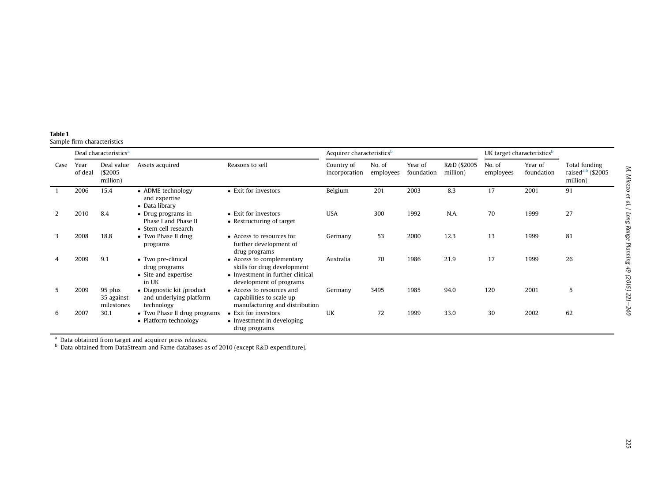<span id="page-4-0"></span>

Sample firm characteristics

|               | Deal characteristics <sup>a</sup> |                                     |                                                                      |                                                                                                                         | Acquirer characteristics <sup>b</sup> |                     |                       | UK target characteristics <sup>b</sup> |                     |                       |                                                            |
|---------------|-----------------------------------|-------------------------------------|----------------------------------------------------------------------|-------------------------------------------------------------------------------------------------------------------------|---------------------------------------|---------------------|-----------------------|----------------------------------------|---------------------|-----------------------|------------------------------------------------------------|
| Case          | Year<br>of deal                   | Deal value<br>(\$2005<br>million)   | Assets acquired                                                      | Reasons to sell                                                                                                         | Country of<br>incorporation           | No. of<br>employees | Year of<br>foundation | R&D (\$2005<br>million)                | No. of<br>employees | Year of<br>foundation | Total funding<br>raised <sup>a,b</sup> (\$2005<br>million) |
|               | 2006                              | 15.4                                | • ADME technology<br>and expertise<br>• Data library                 | • Exit for investors                                                                                                    | Belgium                               | 201                 | 2003                  | 8.3                                    | 17                  | 2001                  | 91                                                         |
|               | 2010                              | 8.4                                 | • Drug programs in<br>Phase I and Phase II<br>• Stem cell research   | • Exit for investors<br>• Restructuring of target                                                                       | <b>USA</b>                            | 300                 | 1992                  | N.A.                                   | 70                  | 1999                  | 27                                                         |
| 3             | 2008                              | 18.8                                | • Two Phase II drug<br>programs                                      | • Access to resources for<br>further development of<br>drug programs                                                    | Germany                               | 53                  | 2000                  | 12.3                                   | 13                  | 1999                  | 81                                                         |
|               | 2009                              | 9.1                                 | • Two pre-clinical<br>drug programs<br>• Site and expertise<br>in UK | • Access to complementary<br>skills for drug development<br>• Investment in further clinical<br>development of programs | Australia                             | 70                  | 1986                  | 21.9                                   | 17                  | 1999                  | 26                                                         |
| $\mathcal{D}$ | 2009                              | 95 plus<br>35 against<br>milestones | • Diagnostic kit /product<br>and underlying platform<br>technology   | • Access to resources and<br>capabilities to scale up<br>manufacturing and distribution                                 | Germany                               | 3495                | 1985                  | 94.0                                   | 120                 | 2001                  | 5                                                          |
| 6             | 2007                              | 30.1                                | • Two Phase II drug programs<br>• Platform technology                | • Exit for investors<br>• Investment in developing<br>drug programs                                                     | UK                                    | 72                  | 1999                  | 33.0                                   | 30                  | 2002                  | 62                                                         |

<sup>a</sup> Data obtained from target and acquirer press releases.<br><sup>b</sup> Data obtained from DataStream and Fame databases as of 2010 (except R&D expenditure).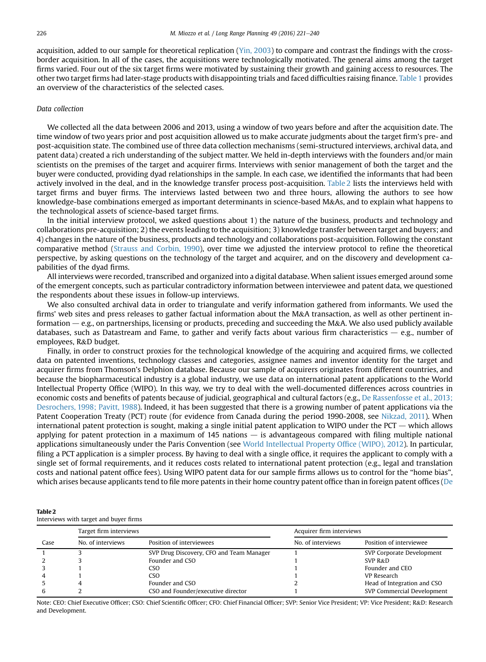acquisition, added to our sample for theoretical replication ([Yin, 2003\)](#page-18-0) to compare and contrast the findings with the crossborder acquisition. In all of the cases, the acquisitions were technologically motivated. The general aims among the target firms varied. Four out of the six target firms were motivated by sustaining their growth and gaining access to resources. The other two target firms had later-stage products with disappointing trials and faced difficulties raising finance. [Table 1](#page-4-0) provides an overview of the characteristics of the selected cases.

### Data collection

We collected all the data between 2006 and 2013, using a window of two years before and after the acquisition date. The time window of two years prior and post acquisition allowed us to make accurate judgments about the target firm's pre- and post-acquisition state. The combined use of three data collection mechanisms (semi-structured interviews, archival data, and patent data) created a rich understanding of the subject matter. We held in-depth interviews with the founders and/or main scientists on the premises of the target and acquirer firms. Interviews with senior management of both the target and the buyer were conducted, providing dyad relationships in the sample. In each case, we identified the informants that had been actively involved in the deal, and in the knowledge transfer process post-acquisition. Table 2 lists the interviews held with target firms and buyer firms. The interviews lasted between two and three hours, allowing the authors to see how knowledge-base combinations emerged as important determinants in science-based M&As, and to explain what happens to the technological assets of science-based target firms.

In the initial interview protocol, we asked questions about 1) the nature of the business, products and technology and collaborations pre-acquisition; 2) the events leading to the acquisition; 3) knowledge transfer between target and buyers; and 4) changes in the nature of the business, products and technology and collaborations post-acquisition. Following the constant comparative method ([Strauss and Corbin, 1990\)](#page-18-0), over time we adjusted the interview protocol to refine the theoretical perspective, by asking questions on the technology of the target and acquirer, and on the discovery and development capabilities of the dyad firms.

All interviews were recorded, transcribed and organized into a digital database. When salient issues emerged around some of the emergent concepts, such as particular contradictory information between interviewee and patent data, we questioned the respondents about these issues in follow-up interviews.

We also consulted archival data in order to triangulate and verify information gathered from informants. We used the firms' web sites and press releases to gather factual information about the M&A transaction, as well as other pertinent information  $-$  e.g., on partnerships, licensing or products, preceding and succeeding the M&A. We also used publicly available databases, such as Datastream and Fame, to gather and verify facts about various firm characteristics  $-$  e.g., number of employees, R&D budget.

Finally, in order to construct proxies for the technological knowledge of the acquiring and acquired firms, we collected data on patented inventions, technology classes and categories, assignee names and inventor identity for the target and acquirer firms from Thomson's Delphion database. Because our sample of acquirers originates from different countries, and because the biopharmaceutical industry is a global industry, we use data on international patent applications to the World Intellectual Property Office (WIPO). In this way, we try to deal with the well-documented differences across countries in economic costs and benefits of patents because of judicial, geographical and cultural factors (e.g., [De Rassenfosse et al., 2013;](#page-17-0) [Desrochers, 1998; Pavitt, 1988](#page-17-0)). Indeed, it has been suggested that there is a growing number of patent applications via the Patent Cooperation Treaty (PCT) route (for evidence from Canada during the period 1990-2008, see [Nikzad, 2011\)](#page-18-0). When international patent protection is sought, making a single initial patent application to WIPO under the PCT  $-$  which allows applying for patent protection in a maximum of 145 nations  $-$  is advantageous compared with filing multiple national applications simultaneously under the Paris Convention (see [World Intellectual Property Of](#page-18-0)fice (WIPO), 2012). In particular, filing a PCT application is a simpler process. By having to deal with a single office, it requires the applicant to comply with a single set of formal requirements, and it reduces costs related to international patent protection (e.g., legal and translation costs and national patent office fees). Using WIPO patent data for our sample firms allows us to control for the "home bias", which arises because applicants tend to file more patents in their home country patent office than in foreign patent offices [\(De](#page-17-0)

| Table 2                                |  |
|----------------------------------------|--|
| Interviews with target and buyer firms |  |

|      | Target firm interviews |                                          | Acquirer firm interviews |                             |  |
|------|------------------------|------------------------------------------|--------------------------|-----------------------------|--|
| Case | No. of interviews      | Position of interviewees                 | No. of interviews        | Position of interviewee     |  |
|      |                        | SVP Drug Discovery, CFO and Team Manager |                          | SVP Corporate Development   |  |
|      |                        | Founder and CSO                          |                          | SVP R&D                     |  |
|      |                        | CSO                                      |                          | Founder and CEO             |  |
|      |                        | CSO                                      |                          | VP Research                 |  |
|      |                        | Founder and CSO                          |                          | Head of Integration and CSO |  |
|      |                        | CSO and Founder/executive director       |                          | SVP Commercial Development  |  |

Note: CEO: Chief Executive Officer; CSO: Chief Scientific Officer; CFO: Chief Financial Officer; SVP: Senior Vice President; VP: Vice President; R&D: Research and Development.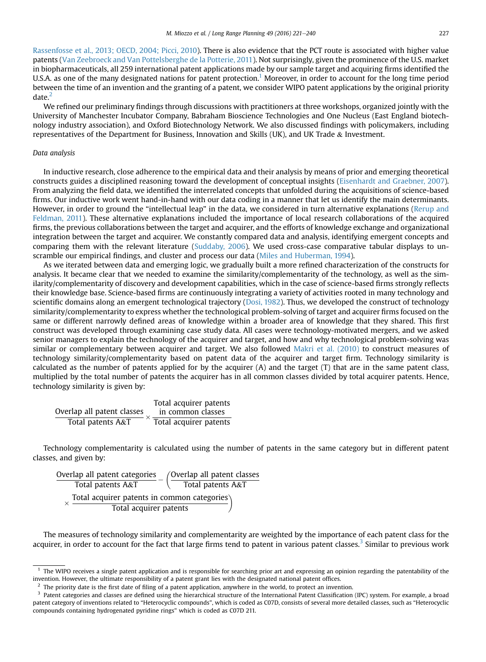[Rassenfosse et al., 2013; OECD, 2004; Picci, 2010\)](#page-17-0). There is also evidence that the PCT route is associated with higher value patents ([Van Zeebroeck and Van Pottelsberghe de la Potterie, 2011](#page-18-0)). Not surprisingly, given the prominence of the U.S. market in biopharmaceuticals, all 259 international patent applications made by our sample target and acquiring firms identified the U.S.A. as one of the many designated nations for patent protection.<sup>1</sup> Moreover, in order to account for the long time period between the time of an invention and the granting of a patent, we consider WIPO patent applications by the original priority  $\frac{1}{2}$ 

We refined our preliminary findings through discussions with practitioners at three workshops, organized jointly with the University of Manchester Incubator Company, Babraham Bioscience Technologies and One Nucleus (East England biotechnology industry association), and Oxford Biotechnology Network. We also discussed findings with policymakers, including representatives of the Department for Business, Innovation and Skills (UK), and UK Trade & Investment.

## Data analysis

In inductive research, close adherence to the empirical data and their analysis by means of prior and emerging theoretical constructs guides a disciplined reasoning toward the development of conceptual insights [\(Eisenhardt and Graebner, 2007](#page-17-0)). From analyzing the field data, we identified the interrelated concepts that unfolded during the acquisitions of science-based firms. Our inductive work went hand-in-hand with our data coding in a manner that let us identify the main determinants. However, in order to ground the "intellectual leap" in the data, we considered in turn alternative explanations ([Rerup and](#page-18-0) [Feldman, 2011\)](#page-18-0). These alternative explanations included the importance of local research collaborations of the acquired firms, the previous collaborations between the target and acquirer, and the efforts of knowledge exchange and organizational integration between the target and acquirer. We constantly compared data and analysis, identifying emergent concepts and comparing them with the relevant literature ([Suddaby, 2006\)](#page-18-0). We used cross-case comparative tabular displays to unscramble our empirical findings, and cluster and process our data ([Miles and Huberman, 1994\)](#page-18-0).

As we iterated between data and emerging logic, we gradually built a more refined characterization of the constructs for analysis. It became clear that we needed to examine the similarity/complementarity of the technology, as well as the similarity/complementarity of discovery and development capabilities, which in the case of science-based firms strongly reflects their knowledge base. Science-based firms are continuously integrating a variety of activities rooted in many technology and scientific domains along an emergent technological trajectory ([Dosi, 1982](#page-17-0)). Thus, we developed the construct of technology similarity/complementarity to express whether the technological problem-solving of target and acquirer firms focused on the same or different narrowly defined areas of knowledge within a broader area of knowledge that they shared. This first construct was developed through examining case study data. All cases were technology-motivated mergers, and we asked senior managers to explain the technology of the acquirer and target, and how and why technological problem-solving was similar or complementary between acquirer and target. We also followed [Makri et al. \(2010\)](#page-17-0) to construct measures of technology similarity/complementarity based on patent data of the acquirer and target firm. Technology similarity is calculated as the number of patents applied for by the acquirer  $(A)$  and the target  $(T)$  that are in the same patent class, multiplied by the total number of patents the acquirer has in all common classes divided by total acquirer patents. Hence, technology similarity is given by:

|                            | Total acquirer patents |
|----------------------------|------------------------|
| Overlap all patent classes | in common classes      |
| Total patents A&T          | Total acquirer patents |

Technology complementarity is calculated using the number of patents in the same category but in different patent classes, and given by:

Overlap all patent categories Total patents A&T Overlap all patent classes Total patents A&T  $\times$  Total acquirer patents in common categories)<br>Total acquirer patents

The measures of technology similarity and complementarity are weighted by the importance of each patent class for the acquirer, in order to account for the fact that large firms tend to patent in various patent classes.<sup>3</sup> Similar to previous work

<sup>&</sup>lt;sup>1</sup> The WIPO receives a single patent application and is responsible for searching prior art and expressing an opinion regarding the patentability of the invention. However, the ultimate responsibility of a patent grant lies with the designated national patent offices.

<sup>2</sup> The priority date is the first date of filing of a patent application, anywhere in the world, to protect an invention.

 $3$  Patent categories and classes are defined using the hierarchical structure of the International Patent Classification (IPC) system. For example, a broad patent category of inventions related to "Heterocyclic compounds", which is coded as C07D, consists of several more detailed classes, such as "Heterocyclic compounds containing hydrogenated pyridine rings" which is coded as C07D 211.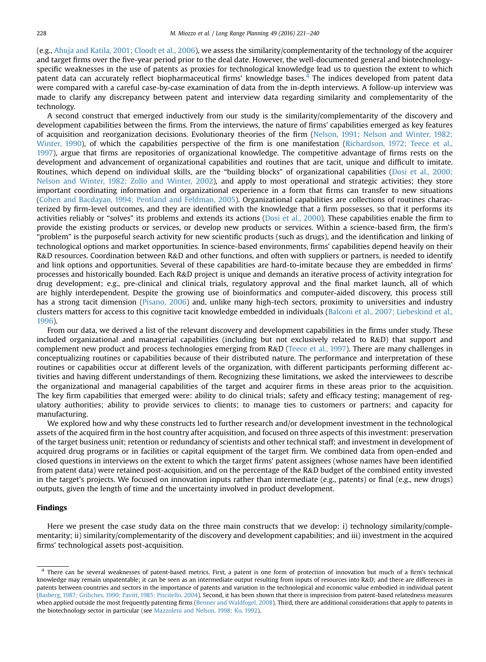(e.g., [Ahuja and Katila, 2001; Cloodt et al., 2006\)](#page-16-0), we assess the similarity/complementarity of the technology of the acquirer and target firms over the five-year period prior to the deal date. However, the well-documented general and biotechnologyspecific weaknesses in the use of patents as proxies for technological knowledge lead us to question the extent to which patent data can accurately reflect biopharmaceutical firms' knowledge bases.<sup>4</sup> The indices developed from patent data were compared with a careful case-by-case examination of data from the in-depth interviews. A follow-up interview was made to clarify any discrepancy between patent and interview data regarding similarity and complementarity of the technology.

A second construct that emerged inductively from our study is the similarity/complementarity of the discovery and development capabilities between the firms. From the interviews, the nature of firms' capabilities emerged as key features of acquisition and reorganization decisions. Evolutionary theories of the firm [\(Nelson, 1991; Nelson and Winter, 1982;](#page-18-0) [Winter, 1990](#page-18-0)), of which the capabilities perspective of the firm is one manifestation [\(Richardson, 1972; Teece et al.,](#page-18-0) [1997](#page-18-0)), argue that firms are repositories of organizational knowledge. The competitive advantage of firms rests on the development and advancement of organizational capabilities and routines that are tacit, unique and difficult to imitate. Routines, which depend on individual skills, are the "building blocks" of organizational capabilities [\(Dosi et al., 2000;](#page-17-0) [Nelson and Winter, 1982; Zollo and Winter, 2002\)](#page-17-0), and apply to most operational and strategic activities; they store important coordinating information and organizational experience in a form that firms can transfer to new situations [\(Cohen and Bacdayan, 1994; Pentland and Feldman, 2005\)](#page-16-0). Organizational capabilities are collections of routines characterized by firm-level outcomes, and they are identified with the knowledge that a firm possesses, so that it performs its activities reliably or "solves" its problems and extends its actions [\(Dosi et al., 2000\)](#page-17-0). These capabilities enable the firm to provide the existing products or services, or develop new products or services. Within a science-based firm, the firm's "problem" is the purposeful search activity for new scientific products (such as drugs), and the identification and linking of technological options and market opportunities. In science-based environments, firms' capabilities depend heavily on their R&D resources. Coordination between R&D and other functions, and often with suppliers or partners, is needed to identify and link options and opportunities. Several of these capabilities are hard-to-imitate because they are embedded in firms' processes and historically bounded. Each R&D project is unique and demands an iterative process of activity integration for drug development; e.g., pre-clinical and clinical trials, regulatory approval and the final market launch, all of which are highly interdependent. Despite the growing use of bioinformatics and computer-aided discovery, this process still has a strong tacit dimension ([Pisano, 2006\)](#page-18-0) and, unlike many high-tech sectors, proximity to universities and industry clusters matters for access to this cognitive tacit knowledge embedded in individuals ([Balconi et al., 2007; Liebeskind et al.,](#page-16-0) [1996\)](#page-16-0).

From our data, we derived a list of the relevant discovery and development capabilities in the firms under study. These included organizational and managerial capabilities (including but not exclusively related to R&D) that support and complement new product and process technologies emerging from R&D [\(Teece et al., 1997\)](#page-18-0). There are many challenges in conceptualizing routines or capabilities because of their distributed nature. The performance and interpretation of these routines or capabilities occur at different levels of the organization, with different participants performing different activities and having different understandings of them. Recognizing these limitations, we asked the interviewees to describe the organizational and managerial capabilities of the target and acquirer firms in these areas prior to the acquisition. The key firm capabilities that emerged were: ability to do clinical trials; safety and efficacy testing; management of regulatory authorities; ability to provide services to clients; to manage ties to customers or partners; and capacity for manufacturing.

We explored how and why these constructs led to further research and/or development investment in the technological assets of the acquired firm in the host country after acquisition, and focused on three aspects of this investment: preservation of the target business unit; retention or redundancy of scientists and other technical staff; and investment in development of acquired drug programs or in facilities or capital equipment of the target firm. We combined data from open-ended and closed questions in interviews on the extent to which the target firms' patent assignees (whose names have been identified from patent data) were retained post-acquisition, and on the percentage of the R&D budget of the combined entity invested in the target's projects. We focused on innovation inputs rather than intermediate (e.g., patents) or final (e.g., new drugs) outputs, given the length of time and the uncertainty involved in product development.

#### Findings

Here we present the case study data on the three main constructs that we develop: i) technology similarity/complementarity; ii) similarity/complementarity of the discovery and development capabilities; and iii) investment in the acquired firms' technological assets post-acquisition.

<sup>4</sup> There can be several weaknesses of patent-based metrics. First, a patent is one form of protection of innovation but much of a firm's technical knowledge may remain unpatentable; it can be seen as an intermediate output resulting from inputs of resources into R&D; and there are differences in patents between countries and sectors in the importance of patents and variation in the technological and economic value embodied in individual patent ([Basberg, 1987; Griliches, 1990; Pavitt, 1985; Piscitello, 2004\)](#page-16-0). Second, it has been shown that there is imprecision from patent-based relatedness measures when applied outside the most frequently patenting firms ([Benner and Waldfogel, 2008](#page-16-0)). Third, there are additional considerations that apply to patents in the biotechnology sector in particular (see [Mazzoleni and Nelson, 1998; Ko, 1992\)](#page-18-0).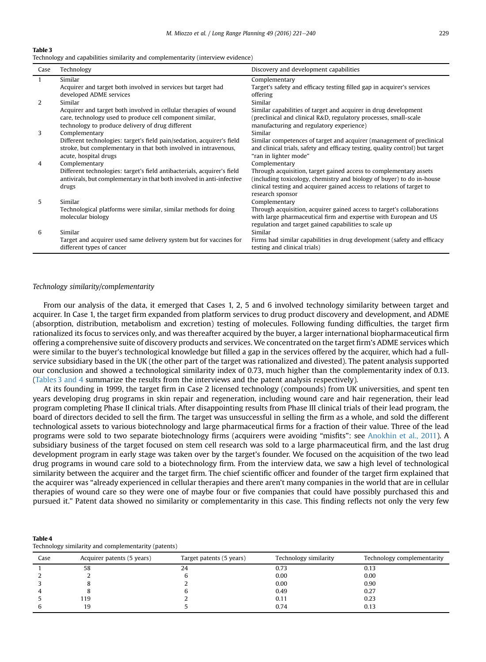#### <span id="page-8-0"></span>Table 3

Technology and capabilities similarity and complementarity (interview evidence)

| Case         | Technology                                                              | Discovery and development capabilities                                        |
|--------------|-------------------------------------------------------------------------|-------------------------------------------------------------------------------|
| $\mathbf{1}$ | Similar                                                                 | Complementary                                                                 |
|              | Acquirer and target both involved in services but target had            | Target's safety and efficacy testing filled gap in acquirer's services        |
|              | developed ADME services                                                 | offering                                                                      |
| 2            | Similar                                                                 | Similar                                                                       |
|              | Acquirer and target both involved in cellular therapies of wound        | Similar capabilities of target and acquirer in drug development               |
|              | care, technology used to produce cell component similar,                | (preclinical and clinical R&D, regulatory processes, small-scale              |
|              | technology to produce delivery of drug different                        | manufacturing and regulatory experience)                                      |
| 3            | Complementary                                                           | Similar                                                                       |
|              | Different technologies: target's field pain/sedation, acquirer's field  | Similar competences of target and acquirer (management of preclinical         |
|              | stroke, but complementary in that both involved in intravenous,         | and clinical trials, safety and efficacy testing, quality control) but target |
|              | acute, hospital drugs                                                   | "ran in lighter mode"                                                         |
| 4            | Complementary                                                           | Complementary                                                                 |
|              | Different technologies: target's field antibacterials, acquirer's field | Through acquisition, target gained access to complementary assets             |
|              | antivirals, but complementary in that both involved in anti-infective   | (including toxicology, chemistry and biology of buyer) to do in-house         |
|              | drugs                                                                   | clinical testing and acquirer gained access to relations of target to         |
|              |                                                                         | research sponsor                                                              |
| 5            | Similar                                                                 | Complementary                                                                 |
|              | Technological platforms were similar, similar methods for doing         | Through acquisition, acquirer gained access to target's collaborations        |
|              | molecular biology                                                       | with large pharmaceutical firm and expertise with European and US             |
|              |                                                                         | regulation and target gained capabilities to scale up                         |
| 6            | Similar                                                                 | Similar                                                                       |
|              | Target and acquirer used same delivery system but for vaccines for      | Firms had similar capabilities in drug development (safety and efficacy       |
|              | different types of cancer                                               | testing and clinical trials)                                                  |

#### Technology similarity/complementarity

From our analysis of the data, it emerged that Cases 1, 2, 5 and 6 involved technology similarity between target and acquirer. In Case 1, the target firm expanded from platform services to drug product discovery and development, and ADME (absorption, distribution, metabolism and excretion) testing of molecules. Following funding difficulties, the target firm rationalized its focus to services only, and was thereafter acquired by the buyer, a larger international biopharmaceutical firm offering a comprehensive suite of discovery products and services. We concentrated on the target firm's ADME services which were similar to the buyer's technological knowledge but filled a gap in the services offered by the acquirer, which had a fullservice subsidiary based in the UK (the other part of the target was rationalized and divested). The patent analysis supported our conclusion and showed a technological similarity index of 0.73, much higher than the complementarity index of 0.13. (Tables 3 and 4 summarize the results from the interviews and the patent analysis respectively).

At its founding in 1999, the target firm in Case 2 licensed technology (compounds) from UK universities, and spent ten years developing drug programs in skin repair and regeneration, including wound care and hair regeneration, their lead program completing Phase II clinical trials. After disappointing results from Phase III clinical trials of their lead program, the board of directors decided to sell the firm. The target was unsuccessful in selling the firm as a whole, and sold the different technological assets to various biotechnology and large pharmaceutical firms for a fraction of their value. Three of the lead programs were sold to two separate biotechnology firms (acquirers were avoiding "misfits": see [Anokhin et al., 2011\)](#page-16-0). A subsidiary business of the target focused on stem cell research was sold to a large pharmaceutical firm, and the last drug development program in early stage was taken over by the target's founder. We focused on the acquisition of the two lead drug programs in wound care sold to a biotechnology firm. From the interview data, we saw a high level of technological similarity between the acquirer and the target firm. The chief scientific officer and founder of the target firm explained that the acquirer was "already experienced in cellular therapies and there aren't many companies in the world that are in cellular therapies of wound care so they were one of maybe four or five companies that could have possibly purchased this and pursued it." Patent data showed no similarity or complementarity in this case. This finding reflects not only the very few

| Table 4                                             |  |
|-----------------------------------------------------|--|
| Technology similarity and complementarity (patents) |  |

| Case | Acquirer patents (5 years) | Target patents (5 years) | Technology similarity | Technology complementarity |
|------|----------------------------|--------------------------|-----------------------|----------------------------|
|      | 58                         | 24                       | 0.73                  | 0.13                       |
|      |                            |                          | 0.00                  | 0.00                       |
|      |                            |                          | 0.00                  | 0.90                       |
|      |                            |                          | 0.49                  | 0.27                       |
|      | 119                        |                          | 0.11                  | 0.23                       |
|      | 19                         |                          | 0.74                  | 0.13                       |
|      |                            |                          |                       |                            |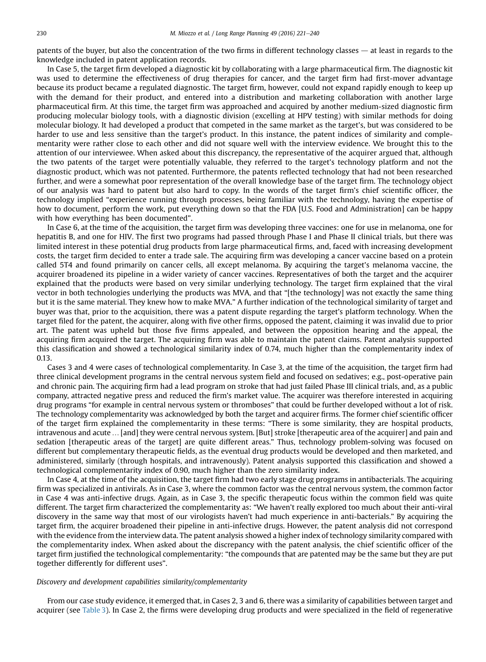patents of the buyer, but also the concentration of the two firms in different technology classes — at least in regards to the knowledge included in patent application records.

In Case 5, the target firm developed a diagnostic kit by collaborating with a large pharmaceutical firm. The diagnostic kit was used to determine the effectiveness of drug therapies for cancer, and the target firm had first-mover advantage because its product became a regulated diagnostic. The target firm, however, could not expand rapidly enough to keep up with the demand for their product, and entered into a distribution and marketing collaboration with another large pharmaceutical firm. At this time, the target firm was approached and acquired by another medium-sized diagnostic firm producing molecular biology tools, with a diagnostic division (excelling at HPV testing) with similar methods for doing molecular biology. It had developed a product that competed in the same market as the target's, but was considered to be harder to use and less sensitive than the target's product. In this instance, the patent indices of similarity and complementarity were rather close to each other and did not square well with the interview evidence. We brought this to the attention of our interviewee. When asked about this discrepancy, the representative of the acquirer argued that, although the two patents of the target were potentially valuable, they referred to the target's technology platform and not the diagnostic product, which was not patented. Furthermore, the patents reflected technology that had not been researched further, and were a somewhat poor representation of the overall knowledge base of the target firm. The technology object of our analysis was hard to patent but also hard to copy. In the words of the target firm's chief scientific officer, the technology implied "experience running through processes, being familiar with the technology, having the expertise of how to document, perform the work, put everything down so that the FDA [U.S. Food and Administration] can be happy with how everything has been documented".

In Case 6, at the time of the acquisition, the target firm was developing three vaccines: one for use in melanoma, one for hepatitis B, and one for HIV. The first two programs had passed through Phase I and Phase II clinical trials, but there was limited interest in these potential drug products from large pharmaceutical firms, and, faced with increasing development costs, the target firm decided to enter a trade sale. The acquiring firm was developing a cancer vaccine based on a protein called 5T4 and found primarily on cancer cells, all except melanoma. By acquiring the target's melanoma vaccine, the acquirer broadened its pipeline in a wider variety of cancer vaccines. Representatives of both the target and the acquirer explained that the products were based on very similar underlying technology. The target firm explained that the viral vector in both technologies underlying the products was MVA, and that "[the technology] was not exactly the same thing but it is the same material. They knew how to make MVA." A further indication of the technological similarity of target and buyer was that, prior to the acquisition, there was a patent dispute regarding the target's platform technology. When the target filed for the patent, the acquirer, along with five other firms, opposed the patent, claiming it was invalid due to prior art. The patent was upheld but those five firms appealed, and between the opposition hearing and the appeal, the acquiring firm acquired the target. The acquiring firm was able to maintain the patent claims. Patent analysis supported this classification and showed a technological similarity index of 0.74, much higher than the complementarity index of 0.13.

Cases 3 and 4 were cases of technological complementarity. In Case 3, at the time of the acquisition, the target firm had three clinical development programs in the central nervous system field and focused on sedatives; e.g., post-operative pain and chronic pain. The acquiring firm had a lead program on stroke that had just failed Phase III clinical trials, and, as a public company, attracted negative press and reduced the firm's market value. The acquirer was therefore interested in acquiring drug programs "for example in central nervous system or thromboses" that could be further developed without a lot of risk. The technology complementarity was acknowledged by both the target and acquirer firms. The former chief scientific officer of the target firm explained the complementarity in these terms: "There is some similarity, they are hospital products, intravenous and acute… [and] they were central nervous system. [But] stroke [therapeutic area of the acquirer] and pain and sedation [therapeutic areas of the target] are quite different areas." Thus, technology problem-solving was focused on different but complementary therapeutic fields, as the eventual drug products would be developed and then marketed, and administered, similarly (through hospitals, and intravenously). Patent analysis supported this classification and showed a technological complementarity index of 0.90, much higher than the zero similarity index.

In Case 4, at the time of the acquisition, the target firm had two early stage drug programs in antibacterials. The acquiring firm was specialized in antivirals. As in Case 3, where the common factor was the central nervous system, the common factor in Case 4 was anti-infective drugs. Again, as in Case 3, the specific therapeutic focus within the common field was quite different. The target firm characterized the complementarity as: "We haven't really explored too much about their anti-viral discovery in the same way that most of our virologists haven't had much experience in anti-bacterials." By acquiring the target firm, the acquirer broadened their pipeline in anti-infective drugs. However, the patent analysis did not correspond with the evidence from the interview data. The patent analysis showed a higher index of technology similarity compared with the complementarity index. When asked about the discrepancy with the patent analysis, the chief scientific officer of the target firm justified the technological complementarity: "the compounds that are patented may be the same but they are put together differently for different uses".

#### Discovery and development capabilities similarity/complementarity

From our case study evidence, it emerged that, in Cases 2, 3 and 6, there was a similarity of capabilities between target and acquirer (see [Table 3\)](#page-8-0). In Case 2, the firms were developing drug products and were specialized in the field of regenerative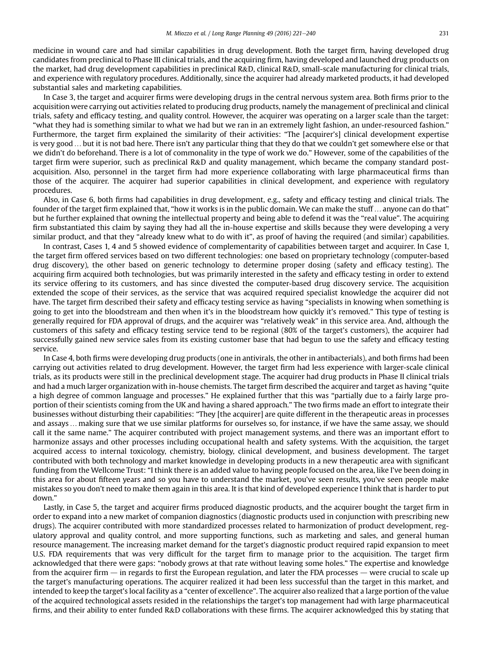medicine in wound care and had similar capabilities in drug development. Both the target firm, having developed drug candidates from preclinical to Phase III clinical trials, and the acquiring firm, having developed and launched drug products on the market, had drug development capabilities in preclinical R&D, clinical R&D, small-scale manufacturing for clinical trials, and experience with regulatory procedures. Additionally, since the acquirer had already marketed products, it had developed substantial sales and marketing capabilities.

In Case 3, the target and acquirer firms were developing drugs in the central nervous system area. Both firms prior to the acquisition were carrying out activities related to producing drug products, namely the management of preclinical and clinical trials, safety and efficacy testing, and quality control. However, the acquirer was operating on a larger scale than the target: "what they had is something similar to what we had but we ran in an extremely light fashion, an under-resourced fashion." Furthermore, the target firm explained the similarity of their activities: "The [acquirer's] clinical development expertise is very good…but it is not bad here. There isn't any particular thing that they do that we couldn't get somewhere else or that we didn't do beforehand. There is a lot of commonality in the type of work we do." However, some of the capabilities of the target firm were superior, such as preclinical R&D and quality management, which became the company standard postacquisition. Also, personnel in the target firm had more experience collaborating with large pharmaceutical firms than those of the acquirer. The acquirer had superior capabilities in clinical development, and experience with regulatory procedures.

Also, in Case 6, both firms had capabilities in drug development, e.g., safety and efficacy testing and clinical trials. The founder of the target firm explained that, "how it works is in the public domain. We can make the stuff ... anyone can do that" but he further explained that owning the intellectual property and being able to defend it was the "real value". The acquiring firm substantiated this claim by saying they had all the in-house expertise and skills because they were developing a very similar product, and that they "already knew what to do with it", as proof of having the required (and similar) capabilities.

In contrast, Cases 1, 4 and 5 showed evidence of complementarity of capabilities between target and acquirer. In Case 1, the target firm offered services based on two different technologies: one based on proprietary technology (computer-based drug discovery), the other based on generic technology to determine proper dosing (safety and efficacy testing). The acquiring firm acquired both technologies, but was primarily interested in the safety and efficacy testing in order to extend its service offering to its customers, and has since divested the computer-based drug discovery service. The acquisition extended the scope of their services, as the service that was acquired required specialist knowledge the acquirer did not have. The target firm described their safety and efficacy testing service as having "specialists in knowing when something is going to get into the bloodstream and then when it's in the bloodstream how quickly it's removed." This type of testing is generally required for FDA approval of drugs, and the acquirer was "relatively weak" in this service area. And, although the customers of this safety and efficacy testing service tend to be regional (80% of the target's customers), the acquirer had successfully gained new service sales from its existing customer base that had begun to use the safety and efficacy testing service.

In Case 4, both firms were developing drug products (one in antivirals, the other in antibacterials), and both firms had been carrying out activities related to drug development. However, the target firm had less experience with larger-scale clinical trials, as its products were still in the preclinical development stage. The acquirer had drug products in Phase II clinical trials and had a much larger organization with in-house chemists. The target firm described the acquirer and target as having "quite a high degree of common language and processes." He explained further that this was "partially due to a fairly large proportion of their scientists coming from the UK and having a shared approach." The two firms made an effort to integrate their businesses without disturbing their capabilities: "They [the acquirer] are quite different in the therapeutic areas in processes and assays… making sure that we use similar platforms for ourselves so, for instance, if we have the same assay, we should call it the same name." The acquirer contributed with project management systems, and there was an important effort to harmonize assays and other processes including occupational health and safety systems. With the acquisition, the target acquired access to internal toxicology, chemistry, biology, clinical development, and business development. The target contributed with both technology and market knowledge in developing products in a new therapeutic area with significant funding from the Wellcome Trust: "I think there is an added value to having people focused on the area, like I've been doing in this area for about fifteen years and so you have to understand the market, you've seen results, you've seen people make mistakes so you don't need to make them again in this area. It is that kind of developed experience I think that is harder to put down."

Lastly, in Case 5, the target and acquirer firms produced diagnostic products, and the acquirer bought the target firm in order to expand into a new market of companion diagnostics (diagnostic products used in conjunction with prescribing new drugs). The acquirer contributed with more standardized processes related to harmonization of product development, regulatory approval and quality control, and more supporting functions, such as marketing and sales, and general human resource management. The increasing market demand for the target's diagnostic product required rapid expansion to meet U.S. FDA requirements that was very difficult for the target firm to manage prior to the acquisition. The target firm acknowledged that there were gaps: "nobody grows at that rate without leaving some holes." The expertise and knowledge from the acquirer firm  $-$  in regards to first the European regulation, and later the FDA processes  $-$  were crucial to scale up the target's manufacturing operations. The acquirer realized it had been less successful than the target in this market, and intended to keep the target's local facility as a "center of excellence". The acquirer also realized that a large portion of the value of the acquired technological assets resided in the relationships the target's top management had with large pharmaceutical firms, and their ability to enter funded R&D collaborations with these firms. The acquirer acknowledged this by stating that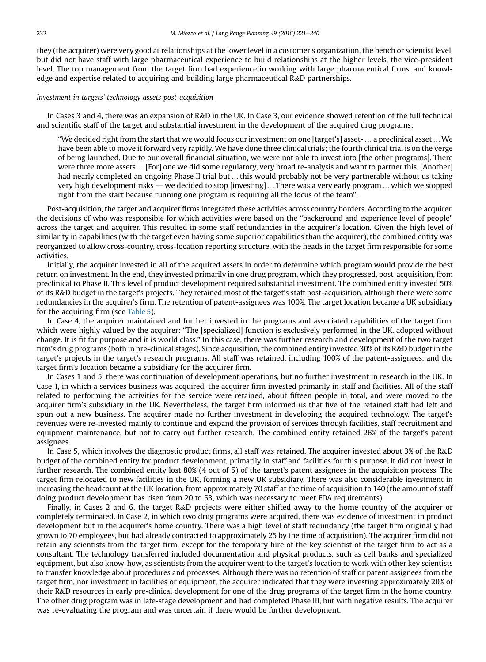they (the acquirer) were very good at relationships at the lower level in a customer's organization, the bench or scientist level, but did not have staff with large pharmaceutical experience to build relationships at the higher levels, the vice-president level. The top management from the target firm had experience in working with large pharmaceutical firms, and knowledge and expertise related to acquiring and building large pharmaceutical R&D partnerships.

Investment in targets' technology assets post-acquisition

In Cases 3 and 4, there was an expansion of R&D in the UK. In Case 3, our evidence showed retention of the full technical and scientific staff of the target and substantial investment in the development of the acquired drug programs:

"We decided right from the start that we would focus our investment on one [target's] asset-… a preclinical asset …We have been able to move it forward very rapidly. We have done three clinical trials; the fourth clinical trial is on the verge of being launched. Due to our overall financial situation, we were not able to invest into [the other programs]. There were three more assets …[For] one we did some regulatory, very broad re-analysis and want to partner this. [Another] had nearly completed an ongoing Phase II trial but ... this would probably not be very partnerable without us taking very high development risks — we decided to stop [investing]… There was a very early program… which we stopped right from the start because running one program is requiring all the focus of the team".

Post-acquisition, the target and acquirer firms integrated these activities across country borders. According to the acquirer, the decisions of who was responsible for which activities were based on the "background and experience level of people" across the target and acquirer. This resulted in some staff redundancies in the acquirer's location. Given the high level of similarity in capabilities (with the target even having some superior capabilities than the acquirer), the combined entity was reorganized to allow cross-country, cross-location reporting structure, with the heads in the target firm responsible for some activities.

Initially, the acquirer invested in all of the acquired assets in order to determine which program would provide the best return on investment. In the end, they invested primarily in one drug program, which they progressed, post-acquisition, from preclinical to Phase II. This level of product development required substantial investment. The combined entity invested 50% of its R&D budget in the target's projects. They retained most of the target's staff post-acquisition, although there were some redundancies in the acquirer's firm. The retention of patent-assignees was 100%. The target location became a UK subsidiary for the acquiring firm (see [Table 5](#page-12-0)).

In Case 4, the acquirer maintained and further invested in the programs and associated capabilities of the target firm, which were highly valued by the acquirer: "The [specialized] function is exclusively performed in the UK, adopted without change. It is fit for purpose and it is world class." In this case, there was further research and development of the two target firm's drug programs (both in pre-clinical stages). Since acquisition, the combined entity invested 30% of its R&D budget in the target's projects in the target's research programs. All staff was retained, including 100% of the patent-assignees, and the target firm's location became a subsidiary for the acquirer firm.

In Cases 1 and 5, there was continuation of development operations, but no further investment in research in the UK. In Case 1, in which a services business was acquired, the acquirer firm invested primarily in staff and facilities. All of the staff related to performing the activities for the service were retained, about fifteen people in total, and were moved to the acquirer firm's subsidiary in the UK. Nevertheless, the target firm informed us that five of the retained staff had left and spun out a new business. The acquirer made no further investment in developing the acquired technology. The target's revenues were re-invested mainly to continue and expand the provision of services through facilities, staff recruitment and equipment maintenance, but not to carry out further research. The combined entity retained 26% of the target's patent assignees.

In Case 5, which involves the diagnostic product firms, all staff was retained. The acquirer invested about 3% of the R&D budget of the combined entity for product development, primarily in staff and facilities for this purpose. It did not invest in further research. The combined entity lost 80% (4 out of 5) of the target's patent assignees in the acquisition process. The target firm relocated to new facilities in the UK, forming a new UK subsidiary. There was also considerable investment in increasing the headcount at the UK location, from approximately 70 staff at the time of acquisition to 140 (the amount of staff doing product development has risen from 20 to 53, which was necessary to meet FDA requirements).

Finally, in Cases 2 and 6, the target R&D projects were either shifted away to the home country of the acquirer or completely terminated. In Case 2, in which two drug programs were acquired, there was evidence of investment in product development but in the acquirer's home country. There was a high level of staff redundancy (the target firm originally had grown to 70 employees, but had already contracted to approximately 25 by the time of acquisition). The acquirer firm did not retain any scientists from the target firm, except for the temporary hire of the key scientist of the target firm to act as a consultant. The technology transferred included documentation and physical products, such as cell banks and specialized equipment, but also know-how, as scientists from the acquirer went to the target's location to work with other key scientists to transfer knowledge about procedures and processes. Although there was no retention of staff or patent assignees from the target firm, nor investment in facilities or equipment, the acquirer indicated that they were investing approximately 20% of their R&D resources in early pre-clinical development for one of the drug programs of the target firm in the home country. The other drug program was in late-stage development and had completed Phase III, but with negative results. The acquirer was re-evaluating the program and was uncertain if there would be further development.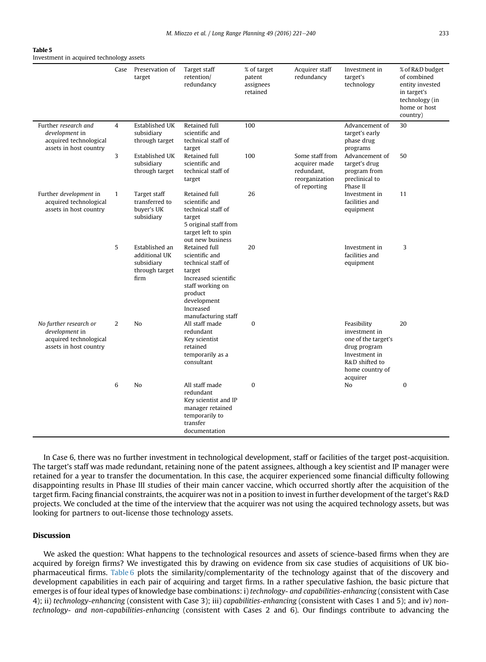#### <span id="page-12-0"></span>Table 5

Investment in acquired technology assets

|                                                                                              | Case           | Preservation of<br>target                                               | Target staff<br>retention/<br>redundancy                                                                                                                                  | % of target<br>patent<br>assignees<br>retained | Acquirer staff<br>redundancy                                                     | Investment in<br>target's<br>technology                                                                                               | % of R&D budget<br>of combined<br>entity invested<br>in target's<br>technology (in<br>home or host<br>country) |
|----------------------------------------------------------------------------------------------|----------------|-------------------------------------------------------------------------|---------------------------------------------------------------------------------------------------------------------------------------------------------------------------|------------------------------------------------|----------------------------------------------------------------------------------|---------------------------------------------------------------------------------------------------------------------------------------|----------------------------------------------------------------------------------------------------------------|
| Further research and<br>development in<br>acquired technological<br>assets in host country   | $\overline{4}$ | <b>Established UK</b><br>subsidiary<br>through target                   | Retained full<br>scientific and<br>technical staff of<br>target                                                                                                           | 100                                            |                                                                                  | Advancement of<br>target's early<br>phase drug<br>programs                                                                            | 30                                                                                                             |
|                                                                                              | 3              | Established UK<br>subsidiary<br>through target                          | Retained full<br>scientific and<br>technical staff of<br>target                                                                                                           | 100                                            | Some staff from<br>acquirer made<br>redundant,<br>reorganization<br>of reporting | Advancement of<br>target's drug<br>program from<br>preclinical to<br>Phase II                                                         | 50                                                                                                             |
| Further development in<br>acquired technological<br>assets in host country                   | $\mathbf{1}$   | Target staff<br>transferred to<br>buyer's UK<br>subsidiary              | Retained full<br>scientific and<br>technical staff of<br>target<br>5 original staff from<br>target left to spin<br>out new business                                       | 26                                             |                                                                                  | Investment in<br>facilities and<br>equipment                                                                                          | 11                                                                                                             |
|                                                                                              | 5              | Established an<br>additional UK<br>subsidiary<br>through target<br>firm | Retained full<br>scientific and<br>technical staff of<br>target<br>Increased scientific<br>staff working on<br>product<br>development<br>Increased<br>manufacturing staff | 20                                             |                                                                                  | Investment in<br>facilities and<br>equipment                                                                                          | 3                                                                                                              |
| No further research or<br>development in<br>acquired technological<br>assets in host country | 2              | No                                                                      | All staff made<br>redundant<br>Key scientist<br>retained<br>temporarily as a<br>consultant                                                                                | $\pmb{0}$                                      |                                                                                  | Feasibility<br>investment in<br>one of the target's<br>drug program<br>Investment in<br>R&D shifted to<br>home country of<br>acquirer | 20                                                                                                             |
|                                                                                              | 6              | No                                                                      | All staff made<br>redundant<br>Key scientist and IP<br>manager retained<br>temporarily to<br>transfer<br>documentation                                                    | $\bf{0}$                                       |                                                                                  | No                                                                                                                                    | 0                                                                                                              |

In Case 6, there was no further investment in technological development, staff or facilities of the target post-acquisition. The target's staff was made redundant, retaining none of the patent assignees, although a key scientist and IP manager were retained for a year to transfer the documentation. In this case, the acquirer experienced some financial difficulty following disappointing results in Phase III studies of their main cancer vaccine, which occurred shortly after the acquisition of the target firm. Facing financial constraints, the acquirer was not in a position to invest in further development of the target's R&D projects. We concluded at the time of the interview that the acquirer was not using the acquired technology assets, but was looking for partners to out-license those technology assets.

### Discussion

We asked the question: What happens to the technological resources and assets of science-based firms when they are acquired by foreign firms? We investigated this by drawing on evidence from six case studies of acquisitions of UK biopharmaceutical firms. [Table 6](#page-13-0) plots the similarity/complementarity of the technology against that of the discovery and development capabilities in each pair of acquiring and target firms. In a rather speculative fashion, the basic picture that emerges is of four ideal types of knowledge base combinations: i) technology- and capabilities-enhancing (consistent with Case 4); ii) technology-enhancing (consistent with Case 3); iii) capabilities-enhancing (consistent with Cases 1 and 5); and iv) nontechnology- and non-capabilities-enhancing (consistent with Cases 2 and 6). Our findings contribute to advancing the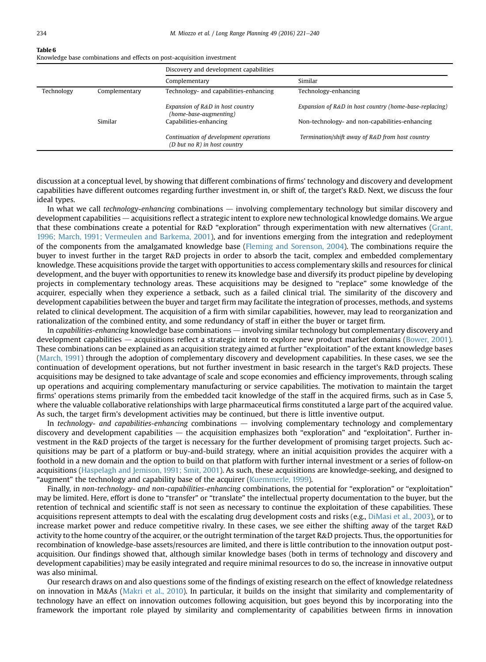<span id="page-13-0"></span>

| ı |  |
|---|--|
|---|--|

Knowledge base combinations and effects on post-acquisition investment

|            |               | Discovery and development capabilities                                   |                                                        |
|------------|---------------|--------------------------------------------------------------------------|--------------------------------------------------------|
|            |               | Complementary                                                            | Similar                                                |
| Technology | Complementary | Technology- and capabilities-enhancing                                   | Technology-enhancing                                   |
|            |               | Expansion of R&D in host country<br>(home-base-augmenting)               | Expansion of R&D in host country (home-base-replacing) |
|            | Similar       | Capabilities-enhancing                                                   | Non-technology- and non-capabilities-enhancing         |
|            |               | Continuation of development operations<br>$(D$ but no R) in host country | Termination/shift away of R&D from host country        |

discussion at a conceptual level, by showing that different combinations of firms' technology and discovery and development capabilities have different outcomes regarding further investment in, or shift of, the target's R&D. Next, we discuss the four ideal types.

In what we call technology-enhancing combinations  $-$  involving complementary technology but similar discovery and development capabilities — acquisitions reflect a strategic intent to explore new technological knowledge domains. We argue that these combinations create a potential for R&D "exploration" through experimentation with new alternatives [\(Grant,](#page-17-0) [1996; March, 1991; Vermeulen and Barkema, 2001](#page-17-0)), and for inventions emerging from the integration and redeployment of the components from the amalgamated knowledge base ([Fleming and Sorenson, 2004](#page-17-0)). The combinations require the buyer to invest further in the target R&D projects in order to absorb the tacit, complex and embedded complementary knowledge. These acquisitions provide the target with opportunities to access complementary skills and resources for clinical development, and the buyer with opportunities to renew its knowledge base and diversify its product pipeline by developing projects in complementary technology areas. These acquisitions may be designed to "replace" some knowledge of the acquirer, especially when they experience a setback, such as a failed clinical trial. The similarity of the discovery and development capabilities between the buyer and target firm may facilitate the integration of processes, methods, and systems related to clinical development. The acquisition of a firm with similar capabilities, however, may lead to reorganization and rationalization of the combined entity, and some redundancy of staff in either the buyer or target firm.

In capabilities-enhancing knowledge base combinations  $-$  involving similar technology but complementary discovery and development capabilities  $-$  acquisitions reflect a strategic intent to explore new product market domains ([Bower, 2001](#page-16-0)). These combinations can be explained as an acquisition strategy aimed at further "exploitation" of the extant knowledge bases [\(March, 1991](#page-18-0)) through the adoption of complementary discovery and development capabilities. In these cases, we see the continuation of development operations, but not further investment in basic research in the target's R&D projects. These acquisitions may be designed to take advantage of scale and scope economies and efficiency improvements, through scaling up operations and acquiring complementary manufacturing or service capabilities. The motivation to maintain the target firms' operations stems primarily from the embedded tacit knowledge of the staff in the acquired firms, such as in Case 5, where the valuable collaborative relationships with large pharmaceutical firms constituted a large part of the acquired value. As such, the target firm's development activities may be continued, but there is little inventive output.

In technology- and capabilities-enhancing combinations  $-$  involving complementary technology and complementary discovery and development capabilities  $-$  the acquisition emphasizes both "exploration" and "exploitation". Further investment in the R&D projects of the target is necessary for the further development of promising target projects. Such acquisitions may be part of a platform or buy-and-build strategy, where an initial acquisition provides the acquirer with a foothold in a new domain and the option to build on that platform with further internal investment or a series of follow-on acquisitions [\(Haspelagh and Jemison, 1991; Smit, 2001](#page-17-0)). As such, these acquisitions are knowledge-seeking, and designed to "augment" the technology and capability base of the acquirer ([Kuemmerle, 1999\)](#page-17-0).

Finally, in non-technology- and non-capabilities-enhancing combinations, the potential for "exploration" or "exploitation" may be limited. Here, effort is done to "transfer" or "translate" the intellectual property documentation to the buyer, but the retention of technical and scientific staff is not seen as necessary to continue the exploitation of these capabilities. These acquisitions represent attempts to deal with the escalating drug development costs and risks (e.g., [DiMasi et al., 2003](#page-17-0)), or to increase market power and reduce competitive rivalry. In these cases, we see either the shifting away of the target R&D activity to the home country of the acquirer, or the outright termination of the target R&D projects. Thus, the opportunities for recombination of knowledge-base assets/resources are limited, and there is little contribution to the innovation output postacquisition. Our findings showed that, although similar knowledge bases (both in terms of technology and discovery and development capabilities) may be easily integrated and require minimal resources to do so, the increase in innovative output was also minimal.

Our research draws on and also questions some of the findings of existing research on the effect of knowledge relatedness on innovation in M&As ([Makri et al., 2010](#page-17-0)). In particular, it builds on the insight that similarity and complementarity of technology have an effect on innovation outcomes following acquisition, but goes beyond this by incorporating into the framework the important role played by similarity and complementarity of capabilities between firms in innovation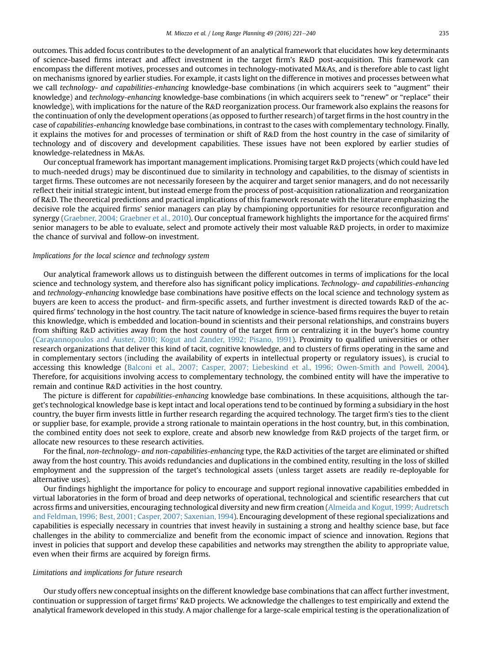outcomes. This added focus contributes to the development of an analytical framework that elucidates how key determinants of science-based firms interact and affect investment in the target firm's R&D post-acquisition. This framework can encompass the different motives, processes and outcomes in technology-motivated M&As, and is therefore able to cast light on mechanisms ignored by earlier studies. For example, it casts light on the difference in motives and processes between what we call technology- and capabilities-enhancing knowledge-base combinations (in which acquirers seek to "augment" their knowledge) and technology-enhancing knowledge-base combinations (in which acquirers seek to "renew" or "replace" their knowledge), with implications for the nature of the R&D reorganization process. Our framework also explains the reasons for the continuation of only the development operations (as opposed to further research) of target firms in the host country in the case of capabilities-enhancing knowledge base combinations, in contrast to the cases with complementary technology. Finally, it explains the motives for and processes of termination or shift of R&D from the host country in the case of similarity of technology and of discovery and development capabilities. These issues have not been explored by earlier studies of knowledge-relatedness in M&As.

Our conceptual framework has important management implications. Promising target R&D projects (which could have led to much-needed drugs) may be discontinued due to similarity in technology and capabilities, to the dismay of scientists in target firms. These outcomes are not necessarily foreseen by the acquirer and target senior managers, and do not necessarily reflect their initial strategic intent, but instead emerge from the process of post-acquisition rationalization and reorganization of R&D. The theoretical predictions and practical implications of this framework resonate with the literature emphasizing the decisive role the acquired firms' senior managers can play by championing opportunities for resource reconfiguration and synergy ([Graebner, 2004; Graebner et al., 2010](#page-17-0)). Our conceptual framework highlights the importance for the acquired firms' senior managers to be able to evaluate, select and promote actively their most valuable R&D projects, in order to maximize the chance of survival and follow-on investment.

#### Implications for the local science and technology system

Our analytical framework allows us to distinguish between the different outcomes in terms of implications for the local science and technology system, and therefore also has significant policy implications. Technology- and capabilities-enhancing and technology-enhancing knowledge base combinations have positive effects on the local science and technology system as buyers are keen to access the product- and firm-specific assets, and further investment is directed towards R&D of the acquired firms' technology in the host country. The tacit nature of knowledge in science-based firms requires the buyer to retain this knowledge, which is embedded and location-bound in scientists and their personal relationships, and constrains buyers from shifting R&D activities away from the host country of the target firm or centralizing it in the buyer's home country ([Carayannopoulos and Auster, 2010; Kogut and Zander, 1992; Pisano, 1991](#page-16-0)). Proximity to qualified universities or other research organizations that deliver this kind of tacit, cognitive knowledge, and to clusters of firms operating in the same and in complementary sectors (including the availability of experts in intellectual property or regulatory issues), is crucial to accessing this knowledge ([Balconi et al., 2007; Casper, 2007; Liebeskind et al., 1996; Owen-Smith and Powell, 2004](#page-16-0)). Therefore, for acquisitions involving access to complementary technology, the combined entity will have the imperative to remain and continue R&D activities in the host country.

The picture is different for capabilities-enhancing knowledge base combinations. In these acquisitions, although the target's technological knowledge base is kept intact and local operations tend to be continued by forming a subsidiary in the host country, the buyer firm invests little in further research regarding the acquired technology. The target firm's ties to the client or supplier base, for example, provide a strong rationale to maintain operations in the host country, but, in this combination, the combined entity does not seek to explore, create and absorb new knowledge from R&D projects of the target firm, or allocate new resources to these research activities.

For the final, non-technology- and non-capabilities-enhancing type, the R&D activities of the target are eliminated or shifted away from the host country. This avoids redundancies and duplications in the combined entity, resulting in the loss of skilled employment and the suppression of the target's technological assets (unless target assets are readily re-deployable for alternative uses).

Our findings highlight the importance for policy to encourage and support regional innovative capabilities embedded in virtual laboratories in the form of broad and deep networks of operational, technological and scientific researchers that cut across firms and universities, encouraging technological diversity and new firm creation ([Almeida and Kogut, 1999; Audretsch](#page-16-0) [and Feldman, 1996; Best, 2001; Casper, 2007; Saxenian, 1994\)](#page-16-0). Encouraging development of these regional specializations and capabilities is especially necessary in countries that invest heavily in sustaining a strong and healthy science base, but face challenges in the ability to commercialize and benefit from the economic impact of science and innovation. Regions that invest in policies that support and develop these capabilities and networks may strengthen the ability to appropriate value, even when their firms are acquired by foreign firms.

#### Limitations and implications for future research

Our study offers new conceptual insights on the different knowledge base combinations that can affect further investment, continuation or suppression of target firms' R&D projects. We acknowledge the challenges to test empirically and extend the analytical framework developed in this study. A major challenge for a large-scale empirical testing is the operationalization of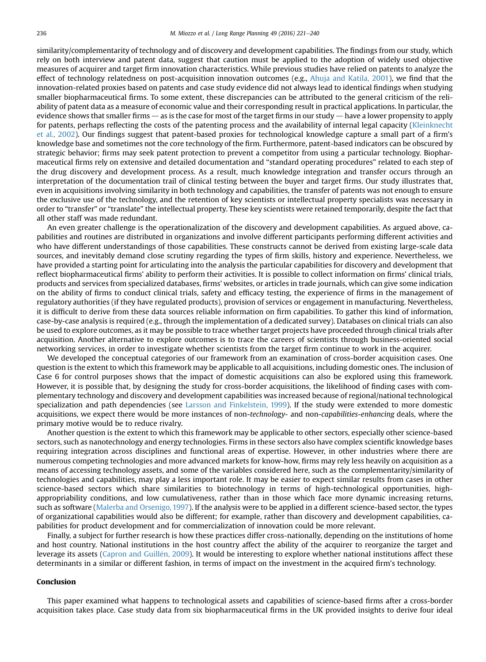similarity/complementarity of technology and of discovery and development capabilities. The findings from our study, which rely on both interview and patent data, suggest that caution must be applied to the adoption of widely used objective measures of acquirer and target firm innovation characteristics. While previous studies have relied on patents to analyze the effect of technology relatedness on post-acquisition innovation outcomes (e.g., [Ahuja and Katila, 2001\)](#page-16-0), we find that the innovation-related proxies based on patents and case study evidence did not always lead to identical findings when studying smaller biopharmaceutical firms. To some extent, these discrepancies can be attributed to the general criticism of the reliability of patent data as a measure of economic value and their corresponding result in practical applications. In particular, the evidence shows that smaller firms  $-$  as is the case for most of the target firms in our study  $-$  have a lower propensity to apply for patents, perhaps reflecting the costs of the patenting process and the availability of internal legal capacity [\(Kleinknecht](#page-17-0) [et al., 2002](#page-17-0)). Our findings suggest that patent-based proxies for technological knowledge capture a small part of a firm's knowledge base and sometimes not the core technology of the firm. Furthermore, patent-based indicators can be obscured by strategic behavior; firms may seek patent protection to prevent a competitor from using a particular technology. Biopharmaceutical firms rely on extensive and detailed documentation and "standard operating procedures" related to each step of the drug discovery and development process. As a result, much knowledge integration and transfer occurs through an interpretation of the documentation trail of clinical testing between the buyer and target firms. Our study illustrates that, even in acquisitions involving similarity in both technology and capabilities, the transfer of patents was not enough to ensure the exclusive use of the technology, and the retention of key scientists or intellectual property specialists was necessary in order to "transfer" or "translate" the intellectual property. These key scientists were retained temporarily, despite the fact that all other staff was made redundant.

An even greater challenge is the operationalization of the discovery and development capabilities. As argued above, capabilities and routines are distributed in organizations and involve different participants performing different activities and who have different understandings of those capabilities. These constructs cannot be derived from existing large-scale data sources, and inevitably demand close scrutiny regarding the types of firm skills, history and experience. Nevertheless, we have provided a starting point for articulating into the analysis the particular capabilities for discovery and development that reflect biopharmaceutical firms' ability to perform their activities. It is possible to collect information on firms' clinical trials, products and services from specialized databases, firms' websites, or articles in trade journals, which can give some indication on the ability of firms to conduct clinical trials, safety and efficacy testing, the experience of firms in the management of regulatory authorities (if they have regulated products), provision of services or engagement in manufacturing. Nevertheless, it is difficult to derive from these data sources reliable information on firm capabilities. To gather this kind of information, case-by-case analysis is required (e.g., through the implementation of a dedicated survey). Databases on clinical trials can also be used to explore outcomes, as it may be possible to trace whether target projects have proceeded through clinical trials after acquisition. Another alternative to explore outcomes is to trace the careers of scientists through business-oriented social networking services, in order to investigate whether scientists from the target firm continue to work in the acquirer.

We developed the conceptual categories of our framework from an examination of cross-border acquisition cases. One question is the extent to which this framework may be applicable to all acquisitions, including domestic ones. The inclusion of Case 6 for control purposes shows that the impact of domestic acquisitions can also be explored using this framework. However, it is possible that, by designing the study for cross-border acquisitions, the likelihood of finding cases with complementary technology and discovery and development capabilities was increased because of regional/national technological specialization and path dependencies (see [Larsson and Finkelstein, 1999](#page-17-0)). If the study were extended to more domestic acquisitions, we expect there would be more instances of non-technology- and non-capabilities-enhancing deals, where the primary motive would be to reduce rivalry.

Another question is the extent to which this framework may be applicable to other sectors, especially other science-based sectors, such as nanotechnology and energy technologies. Firms in these sectors also have complex scientific knowledge bases requiring integration across disciplines and functional areas of expertise. However, in other industries where there are numerous competing technologies and more advanced markets for know-how, firms may rely less heavily on acquisition as a means of accessing technology assets, and some of the variables considered here, such as the complementarity/similarity of technologies and capabilities, may play a less important role. It may be easier to expect similar results from cases in other science-based sectors which share similarities to biotechnology in terms of high-technological opportunities, highappropriability conditions, and low cumulativeness, rather than in those which face more dynamic increasing returns, such as software ([Malerba and Orsenigo, 1997\)](#page-17-0). If the analysis were to be applied in a different science-based sector, the types of organizational capabilities would also be different; for example, rather than discovery and development capabilities, capabilities for product development and for commercialization of innovation could be more relevant.

Finally, a subject for further research is how these practices differ cross-nationally, depending on the institutions of home and host country. National institutions in the host country affect the ability of the acquirer to reorganize the target and leverage its assets (Capron and Guillén, 2009). It would be interesting to explore whether national institutions affect these determinants in a similar or different fashion, in terms of impact on the investment in the acquired firm's technology.

#### Conclusion

This paper examined what happens to technological assets and capabilities of science-based firms after a cross-border acquisition takes place. Case study data from six biopharmaceutical firms in the UK provided insights to derive four ideal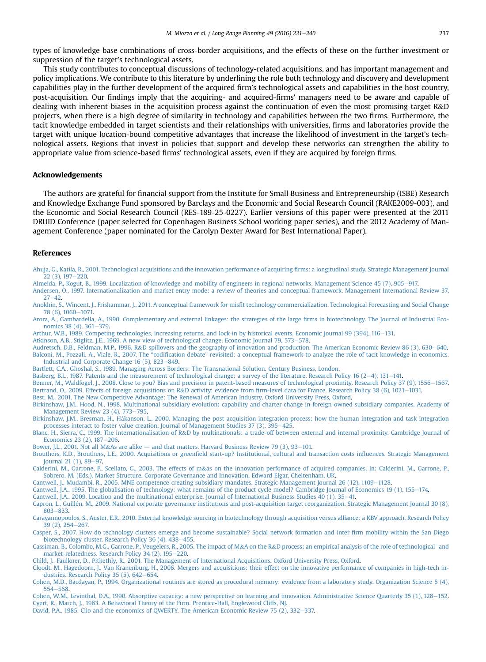<span id="page-16-0"></span>types of knowledge base combinations of cross-border acquisitions, and the effects of these on the further investment or suppression of the target's technological assets.

This study contributes to conceptual discussions of technology-related acquisitions, and has important management and policy implications. We contribute to this literature by underlining the role both technology and discovery and development capabilities play in the further development of the acquired firm's technological assets and capabilities in the host country, post-acquisition. Our findings imply that the acquiring- and acquired-firms' managers need to be aware and capable of dealing with inherent biases in the acquisition process against the continuation of even the most promising target R&D projects, when there is a high degree of similarity in technology and capabilities between the two firms. Furthermore, the tacit knowledge embedded in target scientists and their relationships with universities, firms and laboratories provide the target with unique location-bound competitive advantages that increase the likelihood of investment in the target's technological assets. Regions that invest in policies that support and develop these networks can strengthen the ability to appropriate value from science-based firms' technological assets, even if they are acquired by foreign firms.

#### Acknowledgements

The authors are grateful for financial support from the Institute for Small Business and Entrepreneurship (ISBE) Research and Knowledge Exchange Fund sponsored by Barclays and the Economic and Social Research Council (RAKE2009-003), and the Economic and Social Research Council (RES-189-25-0227). Earlier versions of this paper were presented at the 2011 DRUID Conference (paper selected for Copenhagen Business School working paper series), and the 2012 Academy of Management Conference (paper nominated for the Carolyn Dexter Award for Best International Paper).

#### References

[Ahuja, G., Katila, R., 2001. Technological acquisitions and the innovation performance of acquiring](http://refhub.elsevier.com/S0024-6301(15)00040-0/sr0010) firms: a longitudinal study. Strategic Management Journal  $22(3)$ ,  $197-220$ .

[Almeida, P., Kogut, B., 1999. Localization of knowledge and mobility of engineers in regional networks. Management Science 45 \(7\), 905](http://refhub.elsevier.com/S0024-6301(15)00040-0/sr0015)-[917.](http://refhub.elsevier.com/S0024-6301(15)00040-0/sr0015)

[Andersen, O., 1997. Internationalization and market entry mode: a review of theories and conceptual framework. Management International Review 37,](http://refhub.elsevier.com/S0024-6301(15)00040-0/sr0020)  $27 - 42$  $27 - 42$  $27 - 42$ .

Anokhin, S., Wincent, J., Frishammar, J., 2011. A conceptual framework for misfi[t technology commercialization. Technological Forecasting and Social Change](http://refhub.elsevier.com/S0024-6301(15)00040-0/sr0025) [78 \(6\), 1060](http://refhub.elsevier.com/S0024-6301(15)00040-0/sr0025)-[1071.](http://refhub.elsevier.com/S0024-6301(15)00040-0/sr0025)

[Arora, A., Gambardella, A., 1990. Complementary and external linkages: the strategies of the large](http://refhub.elsevier.com/S0024-6301(15)00040-0/sr0030) firms in biotechnology. The Journal of Industrial Eco[nomics 38 \(4\), 361](http://refhub.elsevier.com/S0024-6301(15)00040-0/sr0030)-[379.](http://refhub.elsevier.com/S0024-6301(15)00040-0/sr0030)

[Arthur, W.B., 1989. Competing technologies, increasing returns, and lock-in by historical events. Economic Journal 99 \(394\), 116](http://refhub.elsevier.com/S0024-6301(15)00040-0/sr0035)–[131.](http://refhub.elsevier.com/S0024-6301(15)00040-0/sr0035)

[Atkinson, A.B., Stiglitz, J.E., 1969. A new view of technological change. Economic Journal 79, 573](http://refhub.elsevier.com/S0024-6301(15)00040-0/sr0040)-[578.](http://refhub.elsevier.com/S0024-6301(15)00040-0/sr0040)

[Audretsch, D.B., Feldman, M.P., 1996. R](http://refhub.elsevier.com/S0024-6301(15)00040-0/sr0045)&[D spillovers and the geography of innovation and production. The American Economic Review 86 \(3\), 630](http://refhub.elsevier.com/S0024-6301(15)00040-0/sr0045)-[640.](http://refhub.elsevier.com/S0024-6301(15)00040-0/sr0045) Balconi, M., Pozzali, A., Viale, R., 2007. The "codification debate" [revisited: a conceptual framework to analyze the role of tacit knowledge in economics.](http://refhub.elsevier.com/S0024-6301(15)00040-0/sr0050) Industrial and Corporate Change  $16(5)$ , 823-[849.](http://refhub.elsevier.com/S0024-6301(15)00040-0/sr0050)

[Bartlett, C.A., Ghoshal, S., 1989. Managing Across Borders: The Transnational Solution. Century Business, London](http://refhub.elsevier.com/S0024-6301(15)00040-0/sr0055).

[Basberg, B.L., 1987. Patents and the measurement of technological change: a survey of the literature. Research Policy 16 \(2](http://refhub.elsevier.com/S0024-6301(15)00040-0/sr0060)-[4\), 131](http://refhub.elsevier.com/S0024-6301(15)00040-0/sr0060)-[141.](http://refhub.elsevier.com/S0024-6301(15)00040-0/sr0060)

[Benner, M., Waldfogel, J., 2008. Close to you? Bias and precision in patent-based measures of technological proximity. Research Policy 37 \(9\), 1556](http://refhub.elsevier.com/S0024-6301(15)00040-0/sr0065)-[1567.](http://refhub.elsevier.com/S0024-6301(15)00040-0/sr0065) [Bertrand, O., 2009. Effects of foreign acquisitions on R](http://refhub.elsevier.com/S0024-6301(15)00040-0/sr0070)&D activity: evidence from fi[rm-level data for France. Research Policy 38 \(6\), 1021](http://refhub.elsevier.com/S0024-6301(15)00040-0/sr0070)-[1031.](http://refhub.elsevier.com/S0024-6301(15)00040-0/sr0070)

[Best, M., 2001. The New Competitive Advantage: The Renewal of American Industry. Oxford University Press, Oxford](http://refhub.elsevier.com/S0024-6301(15)00040-0/sr0075).

[Birkinshaw, J.M., Hood, N., 1998. Multinational subsidiary evolution: capability and charter change in foreign-owned subsidiary companies. Academy of](http://refhub.elsevier.com/S0024-6301(15)00040-0/sr0080) [Management Review 23 \(4\), 773](http://refhub.elsevier.com/S0024-6301(15)00040-0/sr0080)-[795.](http://refhub.elsevier.com/S0024-6301(15)00040-0/sr0080)

[Birkinshaw, J.M., Bresman, H., Håkanson, L., 2000. Managing the post-acquisition integration process: how the human integration and task integration](http://refhub.elsevier.com/S0024-6301(15)00040-0/sr0085) [processes interact to foster value creation. Journal of Management Studies 37 \(3\), 395](http://refhub.elsevier.com/S0024-6301(15)00040-0/sr0085)-[425.](http://refhub.elsevier.com/S0024-6301(15)00040-0/sr0085)

[Blanc, H., Sierra, C., 1999. The internationalisation of R](http://refhub.elsevier.com/S0024-6301(15)00040-0/sr0090)&[D by multinationals: a trade-off between external and internal proximity. Cambridge Journal of](http://refhub.elsevier.com/S0024-6301(15)00040-0/sr0090) [Economics 23 \(2\), 187](http://refhub.elsevier.com/S0024-6301(15)00040-0/sr0090)-[206](http://refhub.elsevier.com/S0024-6301(15)00040-0/sr0090).

[Bower, J.L., 2001. Not all M](http://refhub.elsevier.com/S0024-6301(15)00040-0/sr0095)&[As are alike](http://refhub.elsevier.com/S0024-6301(15)00040-0/sr0095)  $-$  [and that matters. Harvard Business Review 79 \(3\), 93](http://refhub.elsevier.com/S0024-6301(15)00040-0/sr0095)-[101.](http://refhub.elsevier.com/S0024-6301(15)00040-0/sr0095)

Brouthers, K.D., Brouthers, L.E., 2000. Acquisitions or greenfi[eld start-up? Institutional, cultural and transaction costs in](http://refhub.elsevier.com/S0024-6301(15)00040-0/sr0100)fluences. Strategic Management Journal 21  $(1)$ , 89-[97.](http://refhub.elsevier.com/S0024-6301(15)00040-0/sr0100)

[Calderini, M., Garrone, P., Scellato, G., 2003. The effects of m](http://refhub.elsevier.com/S0024-6301(15)00040-0/sr0105)&[as on the innovation performance of acquired companies. In: Calderini, M., Garrone, P.,](http://refhub.elsevier.com/S0024-6301(15)00040-0/sr0105) [Sobrero, M. \(Eds.\), Market Structure, Corporate Governance and Innovation. Edward Elgar, Cheltenham, UK](http://refhub.elsevier.com/S0024-6301(15)00040-0/sr0105).

[Cantwell, J., Mudambi, R., 2005. MNE competence-creating subsidiary mandates. Strategic Management Journal 26 \(12\), 1109](http://refhub.elsevier.com/S0024-6301(15)00040-0/sr0110)-[1128.](http://refhub.elsevier.com/S0024-6301(15)00040-0/sr0110)

[Cantwell, J.A., 1995. The globalisation of technology: what remains of the product cycle model? Cambridge Journal of Economics 19 \(1\), 155](http://refhub.elsevier.com/S0024-6301(15)00040-0/sr0115)-[174.](http://refhub.elsevier.com/S0024-6301(15)00040-0/sr0115)

Cantwell, J.A., 2009. Location and the multinational enterprise. Journal of International Business Studies  $40$  (1), 35–[41.](http://refhub.elsevier.com/S0024-6301(15)00040-0/sr0120)

[Capron, L., Guillen, M., 2009. National corporate governance institutions and post-acquisition target reorganization. Strategic Management Journal 30 \(8\),](http://refhub.elsevier.com/S0024-6301(15)00040-0/sr0125) - [803](http://refhub.elsevier.com/S0024-6301(15)00040-0/sr0125)-[833](http://refhub.elsevier.com/S0024-6301(15)00040-0/sr0125).

[Carayannopoulos, S., Auster, E.R., 2010. External knowledge sourcing in biotechnology through acquisition versus alliance: a KBV approach. Research Policy](http://refhub.elsevier.com/S0024-6301(15)00040-0/sr0130) [39 \(2\), 254](http://refhub.elsevier.com/S0024-6301(15)00040-0/sr0130)-[267.](http://refhub.elsevier.com/S0024-6301(15)00040-0/sr0130)

[Casper, S., 2007. How do technology clusters emerge and become sustainable? Social network formation and inter-](http://refhub.elsevier.com/S0024-6301(15)00040-0/sr0135)firm mobility within the San Diego [biotechnology cluster. Research Policy 36 \(4\), 438](http://refhub.elsevier.com/S0024-6301(15)00040-0/sr0135)-[455.](http://refhub.elsevier.com/S0024-6301(15)00040-0/sr0135)

[Cassiman, B., Colombo, M.G., Garrone, P., Veugelers, R., 2005. The impact of M](http://refhub.elsevier.com/S0024-6301(15)00040-0/sr0140)&[A on the R](http://refhub.elsevier.com/S0024-6301(15)00040-0/sr0140)&[D process: an empirical analysis of the role of technological- and](http://refhub.elsevier.com/S0024-6301(15)00040-0/sr0140) [market-relatedness. Research Policy 34 \(2\), 195](http://refhub.elsevier.com/S0024-6301(15)00040-0/sr0140)-[220.](http://refhub.elsevier.com/S0024-6301(15)00040-0/sr0140)

[Child, J., Faulkner, D., Pitkethly, R., 2001. The Management of International Acquisitions. Oxford University Press, Oxford.](http://refhub.elsevier.com/S0024-6301(15)00040-0/sr0145)

[Cloodt, M., Hagedoorn, J., Van Kranenburg, H., 2006. Mergers and acquisitions: their effect on the innovative performance of companies in high-tech](http://refhub.elsevier.com/S0024-6301(15)00040-0/sr0150) in[dustries. Research Policy 35 \(5\), 642](http://refhub.elsevier.com/S0024-6301(15)00040-0/sr0150)-[654.](http://refhub.elsevier.com/S0024-6301(15)00040-0/sr0150)

[Cohen, M.D., Bacdayan, P., 1994. Organizational routines are stored as procedural memory: evidence from a laboratory study. Organization Science 5](http://refhub.elsevier.com/S0024-6301(15)00040-0/sr0155) (4), [554](http://refhub.elsevier.com/S0024-6301(15)00040-0/sr0155)-[568.](http://refhub.elsevier.com/S0024-6301(15)00040-0/sr0155)

[Cohen, W.M., Levinthal, D.A., 1990. Absorptive capacity: a new perspective on learning and innovation. Administrative Science Quarterly 35 \(1\), 128](http://refhub.elsevier.com/S0024-6301(15)00040-0/sr0160)–[152.](http://refhub.elsevier.com/S0024-6301(15)00040-0/sr0160) [Cyert, R., March, J., 1963. A Behavioral Theory of the Firm. Prentice-Hall, Englewood Cliffs, NJ.](http://refhub.elsevier.com/S0024-6301(15)00040-0/sr0165)

[David, P.A., 1985. Clio and the economics of QWERTY. The American Economic Review 75 \(2\), 332](http://refhub.elsevier.com/S0024-6301(15)00040-0/sr0170)-[337.](http://refhub.elsevier.com/S0024-6301(15)00040-0/sr0170)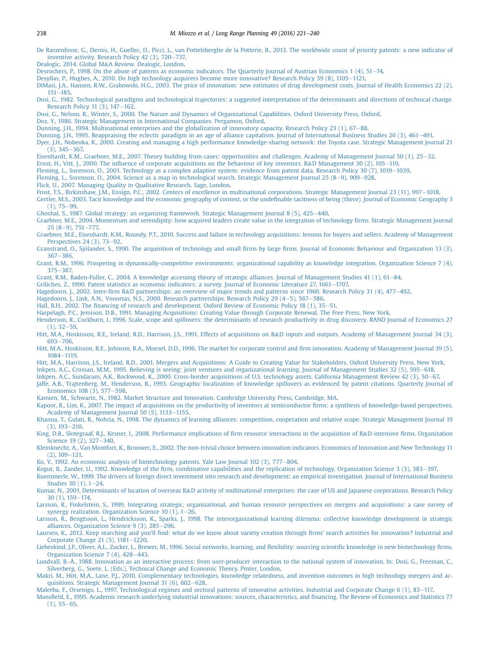<span id="page-17-0"></span>[De Rassenfosse, G., Dernis, H., Guellec, D., Picci, L., van Pottelsberghe de la Potterie, B., 2013. The worldwide count of priority patents: a new indicator of](http://refhub.elsevier.com/S0024-6301(15)00040-0/sr0175) [inventive activity. Research Policy 42 \(3\), 720](http://refhub.elsevier.com/S0024-6301(15)00040-0/sr0175)-[737.](http://refhub.elsevier.com/S0024-6301(15)00040-0/sr0175)

[Dealogic, 2014. Global M](http://refhub.elsevier.com/S0024-6301(15)00040-0/sr0180)&[A Review. Dealogic, London.](http://refhub.elsevier.com/S0024-6301(15)00040-0/sr0180)

- [Desrochers, P., 1998. On the abuse of patents as economic indicators. The Quarterly Journal of Austrian Economics 1 \(4\), 51](http://refhub.elsevier.com/S0024-6301(15)00040-0/sr0185)-[74](http://refhub.elsevier.com/S0024-6301(15)00040-0/sr0185).
- [Desyllas, P., Hughes, A., 2010. Do high technology acquirers become more innovative? Research Policy 39 \(8\), 1105](http://refhub.elsevier.com/S0024-6301(15)00040-0/sr0190)-[1121.](http://refhub.elsevier.com/S0024-6301(15)00040-0/sr0190)
- [DiMasi, J.A., Hansen, R.W., Grabowski, H.G., 2003. The price of innovation: new estimates of drug development costs. Journal of Health Economics 22 \(2\),](http://refhub.elsevier.com/S0024-6301(15)00040-0/sr0195)  $151 - 185$  $151 - 185$ .
- [Dosi, G., 1982. Technological paradigms and technological trajectories: a suggested interpretation of the determinants and directions of technical change.](http://refhub.elsevier.com/S0024-6301(15)00040-0/sr0200) Research Policy 11  $(3)$ , 147-[162.](http://refhub.elsevier.com/S0024-6301(15)00040-0/sr0200)
- [Dosi, G., Nelson, R., Winter, S., 2000. The Nature and Dynamics of Organizational Capabilities. Oxford University Press, Oxford.](http://refhub.elsevier.com/S0024-6301(15)00040-0/sr0205)
- [Doz, Y., 1986. Strategic Management in International Companies. Pergamon, Oxford.](http://refhub.elsevier.com/S0024-6301(15)00040-0/sr0210)
- [Dunning, J.H., 1994. Multinational enterprises and the globalization of innovatory capacity. Research Policy 23 \(1\), 67](http://refhub.elsevier.com/S0024-6301(15)00040-0/sr0215)–[88.](http://refhub.elsevier.com/S0024-6301(15)00040-0/sr0215)
- [Dunning, J.H., 1995. Reappraising the eclectic paradigm in an age of alliance capitalism. Journal of International Business Studies 26 \(3\), 461](http://refhub.elsevier.com/S0024-6301(15)00040-0/sr0220)-[491.](http://refhub.elsevier.com/S0024-6301(15)00040-0/sr0220)
- [Dyer, J.H., Nobeoka, K., 2000. Creating and managing a high performance knowledge-sharing network: the Toyota case. Strategic Management Journal 21](http://refhub.elsevier.com/S0024-6301(15)00040-0/sr0225)  $(3), 345 - 367.$  $(3), 345 - 367.$  $(3), 345 - 367.$
- [Eisenhardt, K.M., Graebner, M.E., 2007. Theory building from cases: opportunities and challenges. Academy of Management Journal 50 \(1\), 25](http://refhub.elsevier.com/S0024-6301(15)00040-0/sr0230)–[32.](http://refhub.elsevier.com/S0024-6301(15)00040-0/sr0230)
- Ernst, H., Vitt, J., 2000. The infl[uence of corporate acquisitions on the behaviour of key inventors. R](http://refhub.elsevier.com/S0024-6301(15)00040-0/sr0235)&D Management 30 (2),  $105-119$  $105-119$ .
- Fleming, L., Sorenson, O., 2001. Technology as a complex adaptive system: evidence from patent data. Research Policy 30  $(7)$ , 1019-[1039.](http://refhub.elsevier.com/S0024-6301(15)00040-0/sr0240)
- [Fleming, L., Sorenson, O., 2004. Science as a map in technological search. Strategic Management Journal 25 \(8](http://refhub.elsevier.com/S0024-6301(15)00040-0/sr0245)–[9\), 909](http://refhub.elsevier.com/S0024-6301(15)00040-0/sr0245)–[928.](http://refhub.elsevier.com/S0024-6301(15)00040-0/sr0245)
- [Flick, U., 2007. Managing Quality in Qualitative Research. Sage, London](http://refhub.elsevier.com/S0024-6301(15)00040-0/sr0250).
- [Frost, T.S., Birkinshaw, J.M., Ensign, P.C., 2002. Centers of excellence in multinational corporations. Strategic Management Journal 23 \(11\), 997](http://refhub.elsevier.com/S0024-6301(15)00040-0/sr0255)-[1018.](http://refhub.elsevier.com/S0024-6301(15)00040-0/sr0255) [Gertler, M.S., 2003. Tacit knowledge and the economic geography of context, or the unde](http://refhub.elsevier.com/S0024-6301(15)00040-0/sr0260)finable tacitness of being (there). Journal of Economic Geography 3  $(1), 75-99$  $(1), 75-99$
- [Ghoshal, S., 1987. Global strategy: an organizing framework. Strategic Management Journal 8 \(5\), 425](http://refhub.elsevier.com/S0024-6301(15)00040-0/sr0265)-[440](http://refhub.elsevier.com/S0024-6301(15)00040-0/sr0265).
- [Graebner, M.E., 2004. Momentum and serendipity: how acquired leaders create value in the integration of technology](http://refhub.elsevier.com/S0024-6301(15)00040-0/sr0270) firms. Strategic Management Journal  $25 (8-9)$  $25 (8-9)$ ,  $751-777$ .
- [Graebner, M.E., Eisenhardt, K.M., Roundy, P.T., 2010. Success and failure in technology acquisitions: lessons for buyers and sellers. Academy of Management](http://refhub.elsevier.com/S0024-6301(15)00040-0/sr0275) Perspectives  $24(3)$ ,  $73-92$ .
- [Granstrand, O., Sj](http://refhub.elsevier.com/S0024-6301(15)00040-0/sr0280)ölander, S., 1990. The acquisition of technology and small firms by large fi[rms. Journal of Economic Behaviour and Organization 13 \(3\),](http://refhub.elsevier.com/S0024-6301(15)00040-0/sr0280) [367](http://refhub.elsevier.com/S0024-6301(15)00040-0/sr0280)-386
- [Grant, R.M., 1996. Prospering in dynamically-competitive environments: organizational capability as knowledge integration. Organization Science 7 \(4\),](http://refhub.elsevier.com/S0024-6301(15)00040-0/sr0285) [375](http://refhub.elsevier.com/S0024-6301(15)00040-0/sr0285)e[387.](http://refhub.elsevier.com/S0024-6301(15)00040-0/sr0285)
- [Grant, R.M., Baden-Fuller, C., 2004. A knowledge accessing theory of strategic alliances. Journal of Management Studies 41 \(1\), 61](http://refhub.elsevier.com/S0024-6301(15)00040-0/sr0290)–[84](http://refhub.elsevier.com/S0024-6301(15)00040-0/sr0290).
- [Griliches, Z., 1990. Patent statistics as economic indicators: a survey. Journal of Economic Literature 27, 1661](http://refhub.elsevier.com/S0024-6301(15)00040-0/sr0295)-[1707.](http://refhub.elsevier.com/S0024-6301(15)00040-0/sr0295)
- [Hagedoorn, J., 2002. Inter-](http://refhub.elsevier.com/S0024-6301(15)00040-0/sr0300)firm R&[D partnerships: an overview of major trends and patterns since 1960. Research Policy 31 \(4\), 477](http://refhub.elsevier.com/S0024-6301(15)00040-0/sr0300)-[492.](http://refhub.elsevier.com/S0024-6301(15)00040-0/sr0300)
- [Hagedoorn, J., Link, A.N., Vonortas, N.S., 2000. Research partnerships. Research Policy 29 \(4](http://refhub.elsevier.com/S0024-6301(15)00040-0/sr0305)–[5\), 567](http://refhub.elsevier.com/S0024-6301(15)00040-0/sr0305)–[586](http://refhub.elsevier.com/S0024-6301(15)00040-0/sr0305).
- Hall, B.H., 2002. The fi[nancing of research and development. Oxford Review of Economic Policy 18 \(1\), 35](http://refhub.elsevier.com/S0024-6301(15)00040-0/sr0310)–[51.](http://refhub.elsevier.com/S0024-6301(15)00040-0/sr0310)
- [Haspelagh, P.C., Jemison, D.B., 1991. Managing Acquisitions: Creating Value through Corporate Renewal. The Free Press, New York](http://refhub.elsevier.com/S0024-6301(15)00040-0/sr0315).
- [Henderson, R., Cockburn, I., 1996. Scale, scope and spillovers: the determinants of research productivity in drug discovery. RAND Journal of Economics 27](http://refhub.elsevier.com/S0024-6301(15)00040-0/sr0320)  $(1), 32-59.$  $(1), 32-59.$  $(1), 32-59.$
- [Hitt, M.A., Hoskisson, R.E., Ireland, R.D., Harrison, J.S., 1991. Effects of acquisitions on R](http://refhub.elsevier.com/S0024-6301(15)00040-0/sr0325)&[D inputs and outputs. Academy of Management Journal 34 \(3\),](http://refhub.elsevier.com/S0024-6301(15)00040-0/sr0325) [693](http://refhub.elsevier.com/S0024-6301(15)00040-0/sr0325)-[706.](http://refhub.elsevier.com/S0024-6301(15)00040-0/sr0325)
- [Hitt, M.A., Hoskisson, R.E., Johnson, R.A., Moesel, D.D., 1996. The market for corporate control and](http://refhub.elsevier.com/S0024-6301(15)00040-0/sr0330) firm innovation. Academy of Management Journal 39 (5), [1084](http://refhub.elsevier.com/S0024-6301(15)00040-0/sr0330)-[1119.](http://refhub.elsevier.com/S0024-6301(15)00040-0/sr0330)
- [Hitt, M.A., Harrison, J.S., Ireland, R.D., 2001. Mergers and Acquisitions: A Guide to Creating Value for Stakeholders. Oxford University Press, New](http://refhub.elsevier.com/S0024-6301(15)00040-0/sr0335) York.
- [Inkpen, A.C., Crossan, M.M., 1995. Believing is seeing: joint ventures and organizational learning. Journal of Management Studies 32 \(5\), 595](http://refhub.elsevier.com/S0024-6301(15)00040-0/sr0340)-[618](http://refhub.elsevier.com/S0024-6301(15)00040-0/sr0340). [Inkpen, A.C., Sundaram, A.K., Rockwood, K., 2000. Cross-border acquisitions of U.S. technology assets. California Management Review 42 \(3\), 50](http://refhub.elsevier.com/S0024-6301(15)00040-0/sr0345)–[67.](http://refhub.elsevier.com/S0024-6301(15)00040-0/sr0345)
- [Jaffe, A.B., Trajtenberg, M., Henderson, R., 1993. Geographic localization of knowledge spillovers as evidenced by patent citations. Quarterly Journal of](http://refhub.elsevier.com/S0024-6301(15)00040-0/sr0350) [Economics 108 \(3\), 577](http://refhub.elsevier.com/S0024-6301(15)00040-0/sr0350)-[598.](http://refhub.elsevier.com/S0024-6301(15)00040-0/sr0350)
- [Kamien, M., Schwartz, N., 1982. Market Structure and Innovation. Cambridge University Press, Cambridge, MA](http://refhub.elsevier.com/S0024-6301(15)00040-0/sr0355).
- [Kapoor, R., Lim, K., 2007. The impact of acquisitions on the productivity of inventors at semiconductor](http://refhub.elsevier.com/S0024-6301(15)00040-0/sr0360) firms: a synthesis of knowledge-based perspectives. Academy of Management Journal 50  $(5)$ , 1133-[1155](http://refhub.elsevier.com/S0024-6301(15)00040-0/sr0360).
- [Khanna, T., Gulati, R., Nohria, N., 1998. The dynamics of learning alliances: competition, cooperation and relative scope. Strategic Management Journal 19](http://refhub.elsevier.com/S0024-6301(15)00040-0/sr0365)  $(3)$ , 193-[210.](http://refhub.elsevier.com/S0024-6301(15)00040-0/sr0365)
- [King, D.R., Slotegraaf, R.J., Kesner, I., 2008. Performance implications of](http://refhub.elsevier.com/S0024-6301(15)00040-0/sr0370) firm resource interactions in the acquisition of R&D-intensive fi[rms. Organization](http://refhub.elsevier.com/S0024-6301(15)00040-0/sr0370) [Science 19 \(2\), 327](http://refhub.elsevier.com/S0024-6301(15)00040-0/sr0370)-[340.](http://refhub.elsevier.com/S0024-6301(15)00040-0/sr0370)
- [Kleinknecht, A., Van Montfort, K., Brouwer, E., 2002. The non-trivial choice between innovation indicators. Economics of Innovation and New Technology 11](http://refhub.elsevier.com/S0024-6301(15)00040-0/sr0375)  $(2), 109 - 121.$  $(2), 109 - 121.$  $(2), 109 - 121.$
- [Ko, Y., 1992. An economic analysis of biotechnology patents. Yale Law Journal 102 \(3\), 777](http://refhub.elsevier.com/S0024-6301(15)00040-0/sr0380)-[804.](http://refhub.elsevier.com/S0024-6301(15)00040-0/sr0380)
- Kogut, B., Zander, U., 1992. Knowledge of the fi[rm, combinative capabilities and the replication of technology. Organization Science 3 \(3\), 383](http://refhub.elsevier.com/S0024-6301(15)00040-0/sr0385)-[397.](http://refhub.elsevier.com/S0024-6301(15)00040-0/sr0385)
- [Kuemmerle, W., 1999. The drivers of foreign direct investment into research and development: an empirical investigation. Journal of International](http://refhub.elsevier.com/S0024-6301(15)00040-0/sr0390) Business
- Studies  $30(1)$ ,  $1-24$ .
- [Kumar, N., 2001. Determinants of location of overseas R](http://refhub.elsevier.com/S0024-6301(15)00040-0/sr0395)&[D activity of multinational enterprises: the case of US and Japanese corporations. Research Policy](http://refhub.elsevier.com/S0024-6301(15)00040-0/sr0395) [30 \(1\), 159](http://refhub.elsevier.com/S0024-6301(15)00040-0/sr0395)-[174.](http://refhub.elsevier.com/S0024-6301(15)00040-0/sr0395)
- [Larsson, R., Finkelstein, S., 1999. Integrating strategic, organizational, and human resource perspectives on mergers and acquisitions: a case survey of](http://refhub.elsevier.com/S0024-6301(15)00040-0/sr0400) synergy realization. Organization Science 10  $(1)$ ,  $1-26$  $1-26$ .
- [Larsson, R., Bengtsson, L., Hendricksson, K., Sparks, J., 1998. The interorganizational learning dilemma: collective knowledge development in strategic](http://refhub.elsevier.com/S0024-6301(15)00040-0/sr0405) alliances. Organization Science 9 (3),  $285-296$ .
- Laursen, K., 2012. Keep searching and you'll fi[nd: what do we know about variety creation through](http://refhub.elsevier.com/S0024-6301(15)00040-0/sr0410) firms' search activities for innovation? Industrial and [Corporate Change 21 \(5\), 1181](http://refhub.elsevier.com/S0024-6301(15)00040-0/sr0410)-[1220](http://refhub.elsevier.com/S0024-6301(15)00040-0/sr0410).
- [Liebeskind, J.P., Oliver, A.L., Zucker, L., Brewer, M., 1996. Social networks, learning, and](http://refhub.elsevier.com/S0024-6301(15)00040-0/sr0415) flexibility: sourcing scientific knowledge in new biotechnology firms. [Organization Science 7 \(4\), 428](http://refhub.elsevier.com/S0024-6301(15)00040-0/sr0415)-[443](http://refhub.elsevier.com/S0024-6301(15)00040-0/sr0415).
- [Lundvall, B.-Å., 1988. Innovation as an interactive process: from user-producer interaction to the national system of innovation. In: Dosi, G., Freeman, C.,](http://refhub.elsevier.com/S0024-6301(15)00040-0/sr0420) [Silverberg, G., Soete, L. \(Eds.\), Technical Change and Economic Theory. Pinter, London.](http://refhub.elsevier.com/S0024-6301(15)00040-0/sr0420)
- [Makri, M., Hitt, M.A., Lane, P.J., 2010. Complementary technologies, knowledge relatedness, and invention outcomes in high technology mergers and](http://refhub.elsevier.com/S0024-6301(15)00040-0/sr0425) ac[quisitions. Strategic Management Journal 31 \(6\), 602](http://refhub.elsevier.com/S0024-6301(15)00040-0/sr0425)-[628](http://refhub.elsevier.com/S0024-6301(15)00040-0/sr0425).
- [Malerba, F., Orsenigo, L., 1997. Technological regimes and sectoral patterns of innovative activities. Industrial and Corporate Change 6 \(1\), 83](http://refhub.elsevier.com/S0024-6301(15)00040-0/sr0430)–[117.](http://refhub.elsevier.com/S0024-6301(15)00040-0/sr0430)
- Mansfi[eld, E., 1995. Academic research underlying industrial innovations: sources, characteristics, and](http://refhub.elsevier.com/S0024-6301(15)00040-0/sr0435) financing. The Review of Economics and Statistics 77  $(1), 55 - 65.$  $(1), 55 - 65.$  $(1), 55 - 65.$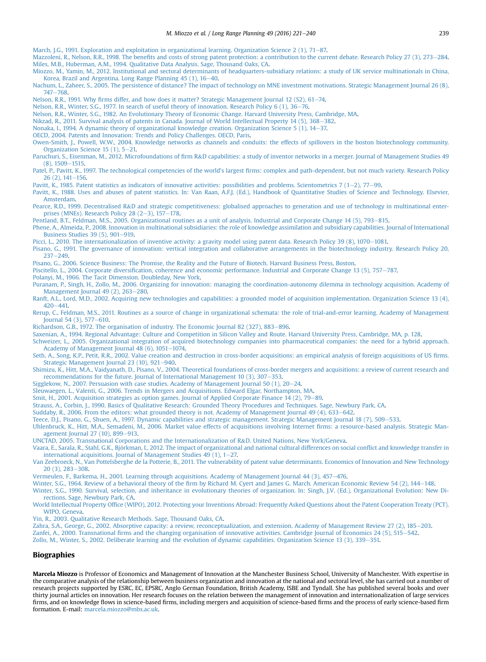<span id="page-18-0"></span>[March, J.G., 1991. Exploration and exploitation in organizational learning. Organization Science 2 \(1\), 71](http://refhub.elsevier.com/S0024-6301(15)00040-0/sr0440)–[87.](http://refhub.elsevier.com/S0024-6301(15)00040-0/sr0440)

- Mazzoleni, R., Nelson, R.R., 1998. The benefi[ts and costs of strong patent protection: a contribution to the current debate. Research Policy 27 \(3\), 273](http://refhub.elsevier.com/S0024-6301(15)00040-0/sr0445)–[284.](http://refhub.elsevier.com/S0024-6301(15)00040-0/sr0445) [Miles, M.B., Huberman, A.M., 1994. Qualitative Data Analysis. Sage, Thousand Oaks, CA.](http://refhub.elsevier.com/S0024-6301(15)00040-0/sr0450)
- [Miozzo, M., Yamin, M., 2012. Institutional and sectoral determinants of headquarters-subsidiary relations: a study of UK service multinationals in China,](http://refhub.elsevier.com/S0024-6301(15)00040-0/sr0455) [Korea, Brazil and Argentina. Long Range Planning 45 \(1\), 16](http://refhub.elsevier.com/S0024-6301(15)00040-0/sr0455)-[40.](http://refhub.elsevier.com/S0024-6301(15)00040-0/sr0455)
- [Nachum, L., Zaheer, S., 2005. The persistence of distance? The impact of technology on MNE investment motivations. Strategic Management Journal 26 \(8\),](http://refhub.elsevier.com/S0024-6301(15)00040-0/sr0460) [747](http://refhub.elsevier.com/S0024-6301(15)00040-0/sr0460)-[768.](http://refhub.elsevier.com/S0024-6301(15)00040-0/sr0460)
- Nelson, R.R., 1991. Why fi[rms differ, and how does it matter? Strategic Management Journal 12 \(S2\), 61](http://refhub.elsevier.com/S0024-6301(15)00040-0/sr0465)-[74](http://refhub.elsevier.com/S0024-6301(15)00040-0/sr0465).
- [Nelson, R.R., Winter, S.G., 1977. In search of useful theory of innovation. Research Policy 6 \(1\), 36](http://refhub.elsevier.com/S0024-6301(15)00040-0/sr0470)–[76](http://refhub.elsevier.com/S0024-6301(15)00040-0/sr0470).
- [Nelson, R.R., Winter, S.G., 1982. An Evolutionary Theory of Economic Change. Harvard University Press, Cambridge, MA](http://refhub.elsevier.com/S0024-6301(15)00040-0/sr0475).
- [Nikzad, R., 2011. Survival analysis of patents in Canada. Journal of World Intellectual Property 14 \(5\), 368](http://refhub.elsevier.com/S0024-6301(15)00040-0/sr0480)–[382.](http://refhub.elsevier.com/S0024-6301(15)00040-0/sr0480)
- [Nonaka, I., 1994. A dynamic theory of organizational knowledge creation. Organization Science 5 \(1\), 14](http://refhub.elsevier.com/S0024-6301(15)00040-0/sr0485)–[37.](http://refhub.elsevier.com/S0024-6301(15)00040-0/sr0485)
- [OECD, 2004. Patents and Innovation: Trends and Policy Challenges. OECD, Paris.](http://refhub.elsevier.com/S0024-6301(15)00040-0/sr0490)
- [Owen-Smith, J., Powell, W.W., 2004. Knowledge networks as channels and conduits: the effects of spillovers in the boston biotechnology community.](http://refhub.elsevier.com/S0024-6301(15)00040-0/sr0500) Organization Science  $15(1)$ ,  $5-21$ .
- [Paruchuri, S., Eisenman, M., 2012. Microfoundations of](http://refhub.elsevier.com/S0024-6301(15)00040-0/sr0505) firm R&[D capabilities: a study of inventor networks in a merger. Journal of Management Studies 49](http://refhub.elsevier.com/S0024-6301(15)00040-0/sr0505)  $(8)$ , 1509-[1515](http://refhub.elsevier.com/S0024-6301(15)00040-0/sr0505).
- Patel, P., Pavitt, K., 1997. The technological competencies of the world's largest fi[rms: complex and path-dependent, but not much variety. Research Policy](http://refhub.elsevier.com/S0024-6301(15)00040-0/sr0510)  $26 (2)$ ,  $141-156$  $141-156$ .
- [Pavitt, K., 1985. Patent statistics as indicators of innovative activities: possibilities and problems. Scientometrics 7 \(1](http://refhub.elsevier.com/S0024-6301(15)00040-0/sr0515)-[2\), 77](http://refhub.elsevier.com/S0024-6301(15)00040-0/sr0515)-[99.](http://refhub.elsevier.com/S0024-6301(15)00040-0/sr0515)
- [Pavitt, K., 1988. Uses and abuses of patent statistics. In: Van Raan, A.F.J. \(Ed.\), Handbook of Quantitative Studies of Science and Technology. Elsevier,](http://refhub.elsevier.com/S0024-6301(15)00040-0/sr0520) [Amsterdam.](http://refhub.elsevier.com/S0024-6301(15)00040-0/sr0520)
- [Pearce, R.D., 1999. Decentralised R](http://refhub.elsevier.com/S0024-6301(15)00040-0/sr0525)&[D and strategic competitiveness: globalised approaches to generation and use of technology in multinational enter](http://refhub.elsevier.com/S0024-6301(15)00040-0/sr0525)prises (MNEs). Research Policy 28  $(2-3)$ , 157-[178](http://refhub.elsevier.com/S0024-6301(15)00040-0/sr0525).
- [Pentland, B.T., Feldman, M.S., 2005. Organizational routines as a unit of analysis. Industrial and Corporate Change 14 \(5\), 793](http://refhub.elsevier.com/S0024-6301(15)00040-0/sr0530)-[815](http://refhub.elsevier.com/S0024-6301(15)00040-0/sr0530).
- [Phene, A., Almeida, P., 2008. Innovation in multinational subsidiaries: the role of knowledge assimilation and subsidiary capabilities. Journal of International](http://refhub.elsevier.com/S0024-6301(15)00040-0/sr0535) [Business Studies 39 \(5\), 901](http://refhub.elsevier.com/S0024-6301(15)00040-0/sr0535)-[919.](http://refhub.elsevier.com/S0024-6301(15)00040-0/sr0535)
- [Picci, L., 2010. The internationalization of inventive activity: a gravity model using patent data. Research Policy 39 \(8\), 1070](http://refhub.elsevier.com/S0024-6301(15)00040-0/sr0540)-[1081.](http://refhub.elsevier.com/S0024-6301(15)00040-0/sr0540)
- [Pisano, G., 1991. The governance of innovation: vertical integration and collaborative arrangements in the biotechnology industry. Research Policy 20,](http://refhub.elsevier.com/S0024-6301(15)00040-0/sr0545)  $237 - 249$  $237 - 249$  $237 - 249$ .
- [Pisano, G., 2006. Science Business: The Promise, the Reality and the Future of Biotech. Harvard Business Press, Boston](http://refhub.elsevier.com/S0024-6301(15)00040-0/sr0550).
- Piscitello, L., 2004. Corporate diversifi[cation, coherence and economic performance. Industrial and Corporate Change 13 \(5\), 757](http://refhub.elsevier.com/S0024-6301(15)00040-0/sr0555)-[787.](http://refhub.elsevier.com/S0024-6301(15)00040-0/sr0555)
- [Polanyi, M., 1966. The Tacit Dimension. Doubleday, New York.](http://refhub.elsevier.com/S0024-6301(15)00040-0/sr0560)
- [Puranam, P., Singh, H., Zollo, M., 2006. Organizing for innovation: managing the coordination-autonomy dilemma in technology acquisition. Academy of](http://refhub.elsevier.com/S0024-6301(15)00040-0/sr0565) Management Journal  $49$   $(2)$ ,  $263-280$ .
- [Ranft, A.L., Lord, M.D., 2002. Acquiring new technologies and capabilities: a grounded model of acquisition implementation. Organization Science](http://refhub.elsevier.com/S0024-6301(15)00040-0/sr0570) 13 (4),  $420 - 441$  $420 - 441$
- [Rerup, C., Feldman, M.S., 2011. Routines as a source of change in organizational schemata: the role of trial-and-error learning. Academy of Management](http://refhub.elsevier.com/S0024-6301(15)00040-0/sr0575) Journal 54 (3),  $577 - 610$  $577 - 610$ .
- [Richardson, G.B., 1972. The organisation of industry. The Economic Journal 82 \(327\), 883](http://refhub.elsevier.com/S0024-6301(15)00040-0/sr0580)–[896.](http://refhub.elsevier.com/S0024-6301(15)00040-0/sr0580)
- [Saxenian, A., 1994. Regional Advantage: Culture and Competition in Silicon Valley and Route. Harvard University Press, Cambridge, MA, p. 128](http://refhub.elsevier.com/S0024-6301(15)00040-0/sr0585).
- [Schweizer, L., 2005. Organizational integration of acquired biotechnology companies into pharmaceutical companies: the need for a hybrid approach.](http://refhub.elsevier.com/S0024-6301(15)00040-0/sr0590) Academy of Management Journal  $48(6)$ ,  $1051-1074$  $1051-1074$ .
- [Seth, A., Song, K.P., Petit, R.R., 2002. Value creation and destruction in cross-border acquisitions: an empirical analysis of foreign acquisitions of US](http://refhub.elsevier.com/S0024-6301(15)00040-0/sr0595) firms. [Strategic Management Journal 23 \(10\), 921](http://refhub.elsevier.com/S0024-6301(15)00040-0/sr0595)-[940.](http://refhub.elsevier.com/S0024-6301(15)00040-0/sr0595)
- [Shimizu, K., Hitt, M.A., Vaidyanath, D., Pisano, V., 2004. Theoretical foundations of cross-border mergers and acquisitions: a review of current research and](http://refhub.elsevier.com/S0024-6301(15)00040-0/sr0600) [recommendations for the future. Journal of International Management 10 \(3\), 307](http://refhub.elsevier.com/S0024-6301(15)00040-0/sr0600)-[353.](http://refhub.elsevier.com/S0024-6301(15)00040-0/sr0600)
- Sigglekow, N., 2007. Persuasion with case studies. Academy of Management Journal 50  $(1)$ , 20–[24.](http://refhub.elsevier.com/S0024-6301(15)00040-0/sr0605)
- [Sleuwaegen, L., Valenti, G., 2006. Trends in Mergers and Acquisitions. Edward Elgar, Northampton, MA.](http://refhub.elsevier.com/S0024-6301(15)00040-0/sr0610)
- [Smit, H., 2001. Acquisition strategies as option games. Journal of Applied Corporate Finance 14 \(2\), 79](http://refhub.elsevier.com/S0024-6301(15)00040-0/sr0615)–[89.](http://refhub.elsevier.com/S0024-6301(15)00040-0/sr0615)
- [Strauss, A., Corbin, J., 1990. Basics of Qualitative Research: Grounded Theory Procedures and Techniques. Sage, Newbury Park, CA](http://refhub.elsevier.com/S0024-6301(15)00040-0/sr0620).
- [Suddaby, R., 2006. From the editors: what grounded theory is not. Academy of Management Journal 49 \(4\), 633](http://refhub.elsevier.com/S0024-6301(15)00040-0/sr0625)–[642.](http://refhub.elsevier.com/S0024-6301(15)00040-0/sr0625)
- [Teece, D.J., Pisano, G., Shuen, A., 1997. Dynamic capabilities and strategic management. Strategic Management Journal 18 \(7\), 509](http://refhub.elsevier.com/S0024-6301(15)00040-0/sr0630)–[533.](http://refhub.elsevier.com/S0024-6301(15)00040-0/sr0630)
- [Uhlenbruck, K., Hitt, M.A., Semadeni, M., 2006. Market value effects of acquisitions involving Internet](http://refhub.elsevier.com/S0024-6301(15)00040-0/sr0635) firms: a resource-based analysis. Strategic Man[agement Journal 27 \(10\), 899](http://refhub.elsevier.com/S0024-6301(15)00040-0/sr0635)-[913.](http://refhub.elsevier.com/S0024-6301(15)00040-0/sr0635)
- [UNCTAD, 2005. Transnational Corporations and the Internationalization of R](http://refhub.elsevier.com/S0024-6301(15)00040-0/sr0640)&[D. United Nations, New York/Geneva](http://refhub.elsevier.com/S0024-6301(15)00040-0/sr0640).
- Vaara, E., Sarala, R., Stahl, G.K., Björkman, I., 2012. The impact of organizational and national cultural differences on social conflict and knowledge transfer in international acquisitions. Journal of Management Studies  $49(1)$ ,  $1-27$ .
- [Van Zeebroeck, N., Van Pottelsberghe de la Potterie, B., 2011. The vulnerability of patent value determinants. Economics of Innovation and New Technology](http://refhub.elsevier.com/S0024-6301(15)00040-0/sr0650) [20 \(3\), 283](http://refhub.elsevier.com/S0024-6301(15)00040-0/sr0650)-[308.](http://refhub.elsevier.com/S0024-6301(15)00040-0/sr0650)
- [Vermeulen, F., Barkema, H., 2001. Learning through acquisitions. Academy of Management Journal 44 \(3\), 457](http://refhub.elsevier.com/S0024-6301(15)00040-0/sr0655)-[476](http://refhub.elsevier.com/S0024-6301(15)00040-0/sr0655).
- Winter, S.G., 1964. Review of a behavioral theory of the fi[rm by Richard M. Cyert and James G. March. American Economic Review 54 \(2\), 144](http://refhub.elsevier.com/S0024-6301(15)00040-0/sr0660)–[148.](http://refhub.elsevier.com/S0024-6301(15)00040-0/sr0660)
- [Winter, S.G., 1990. Survival, selection, and inheritance in evolutionary theories of organization. In: Singh, J.V. \(Ed.\), Organizational Evolution: New Di](http://refhub.elsevier.com/S0024-6301(15)00040-0/sr0665)[rections. Sage, Newbury Park, CA.](http://refhub.elsevier.com/S0024-6301(15)00040-0/sr0665)

World Intellectual Property Offi[ce \(WIPO\), 2012. Protecting your Inventions Abroad: Frequently Asked Questions about the Patent Cooperation Treaty \(PCT\).](http://refhub.elsevier.com/S0024-6301(15)00040-0/sr0670) [WIPO, Geneva](http://refhub.elsevier.com/S0024-6301(15)00040-0/sr0670).

[Yin, R., 2003. Qualitative Research Methods. Sage, Thousand Oaks, CA.](http://refhub.elsevier.com/S0024-6301(15)00040-0/sr0675)

[Zahra, S.A., George, G., 2002. Absorptive capacity: a review, reconceptualization, and extension. Academy of Management Review 27 \(2\), 185](http://refhub.elsevier.com/S0024-6301(15)00040-0/sr0680)-[203](http://refhub.elsevier.com/S0024-6301(15)00040-0/sr0680). Zanfei, A., 2000. Transnational fi[rms and the changing organisation of innovative activities. Cambridge Journal of Economics 24 \(5\), 515](http://refhub.elsevier.com/S0024-6301(15)00040-0/sr0685)-[542.](http://refhub.elsevier.com/S0024-6301(15)00040-0/sr0685)

[Zollo, M., Winter, S., 2002. Deliberate learning and the evolution of dynamic capabilities. Organization Science 13 \(3\), 339](http://refhub.elsevier.com/S0024-6301(15)00040-0/sr0690)-[351.](http://refhub.elsevier.com/S0024-6301(15)00040-0/sr0690)

#### Biographies

Marcela Miozzo is Professor of Economics and Management of Innovation at the Manchester Business School, University of Manchester. With expertise in the comparative analysis of the relationship between business organization and innovation at the national and sectoral level, she has carried out a number of research projects supported by ESRC, EC, EPSRC, Anglo German Foundation, British Academy, ISBE and Tyndall. She has published several books and over thirty journal articles on innovation. Her research focuses on the relation between the management of innovation and internationalization of large services firms, and on knowledge flows in science-based firms, including mergers and acquisition of science-based firms and the process of early science-based firm formation. E-mail: [marcela.miozzo@mbs.ac.uk](mailto:marcela.miozzo@mbs.ac.uk).